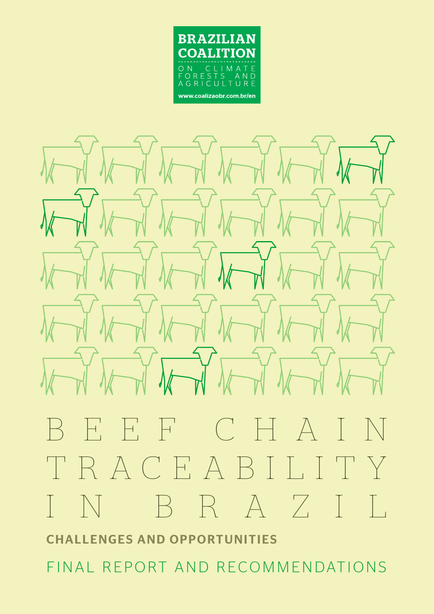



FINAL REPORT AND RECOMMENDATIONS

CHALLENGES AND OPPORTUNITIES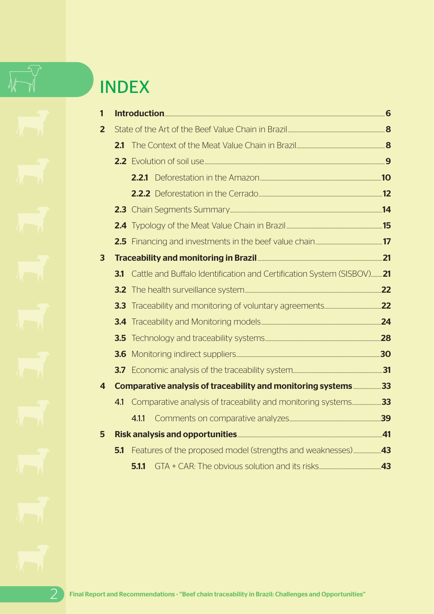### INDEX

| 1                       |     |                                                                           |  |  |  |  |  |  |
|-------------------------|-----|---------------------------------------------------------------------------|--|--|--|--|--|--|
| $\overline{2}$          |     |                                                                           |  |  |  |  |  |  |
|                         |     |                                                                           |  |  |  |  |  |  |
|                         |     |                                                                           |  |  |  |  |  |  |
|                         |     |                                                                           |  |  |  |  |  |  |
|                         |     |                                                                           |  |  |  |  |  |  |
|                         |     |                                                                           |  |  |  |  |  |  |
|                         |     |                                                                           |  |  |  |  |  |  |
|                         |     |                                                                           |  |  |  |  |  |  |
| 3                       |     | Traceability and monitoring in Brazil <b>Election 21</b> 21               |  |  |  |  |  |  |
|                         |     | 3.1 Cattle and Buffalo Identification and Certification System (SISBOV)21 |  |  |  |  |  |  |
|                         |     |                                                                           |  |  |  |  |  |  |
|                         |     |                                                                           |  |  |  |  |  |  |
|                         |     |                                                                           |  |  |  |  |  |  |
|                         |     |                                                                           |  |  |  |  |  |  |
|                         |     |                                                                           |  |  |  |  |  |  |
|                         |     |                                                                           |  |  |  |  |  |  |
| $\overline{\mathbf{4}}$ |     |                                                                           |  |  |  |  |  |  |
|                         | 4.1 |                                                                           |  |  |  |  |  |  |
|                         |     | 4.1.1                                                                     |  |  |  |  |  |  |
| 5                       |     |                                                                           |  |  |  |  |  |  |
|                         | 5.1 |                                                                           |  |  |  |  |  |  |
|                         |     | 5.1.1                                                                     |  |  |  |  |  |  |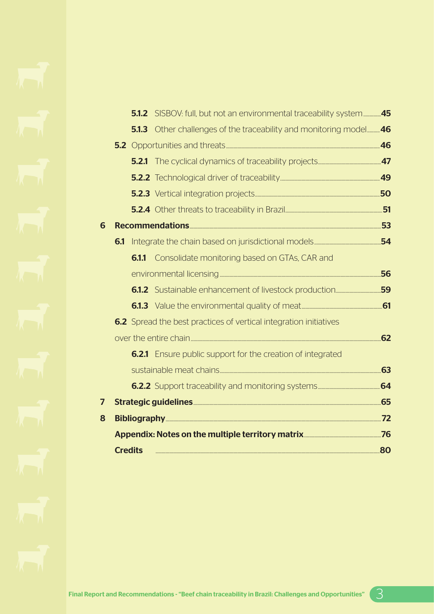| 5.1.2 SISBOV: full, but not an environmental traceability system45       |     |
|--------------------------------------------------------------------------|-----|
| 5.1.3 Other challenges of the traceability and monitoring model46        |     |
|                                                                          |     |
|                                                                          |     |
|                                                                          |     |
|                                                                          |     |
|                                                                          |     |
| 6                                                                        |     |
|                                                                          |     |
| <b>6.1.1</b> Consolidate monitoring based on GTAs, CAR and               |     |
|                                                                          |     |
|                                                                          |     |
|                                                                          |     |
| <b>6.2</b> Spread the best practices of vertical integration initiatives |     |
|                                                                          |     |
| <b>6.2.1</b> Ensure public support for the creation of integrated        |     |
|                                                                          |     |
|                                                                          |     |
|                                                                          | 65  |
| 8                                                                        | .72 |
|                                                                          |     |
| <b>Credits</b>                                                           |     |
|                                                                          |     |
|                                                                          |     |
|                                                                          |     |
|                                                                          |     |
|                                                                          |     |
|                                                                          |     |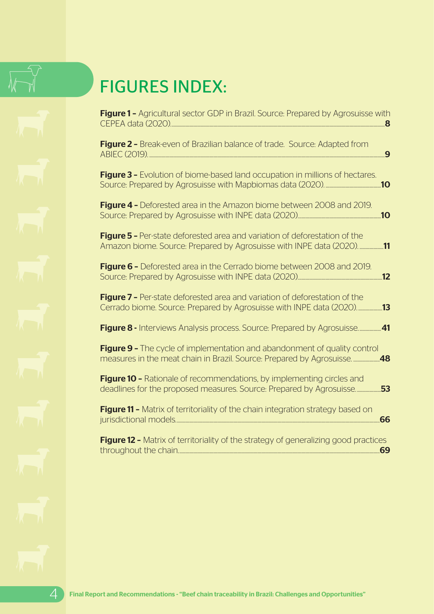| Figure 1 - Agricultural sector GDP in Brazil. Source: Prepared by Agrosuisse with                                                                   |
|-----------------------------------------------------------------------------------------------------------------------------------------------------|
| Figure 2 - Break-even of Brazilian balance of trade. Source: Adapted from                                                                           |
| Figure 3 - Evolution of biome-based land occupation in millions of hectares.                                                                        |
| Figure 4 - Deforested area in the Amazon biome between 2008 and 2019.                                                                               |
| Figure 5 - Per-state deforested area and variation of deforestation of the<br>Amazon biome. Source: Prepared by Agrosuisse with INPE data (2020)11  |
| Figure 6 - Deforested area in the Cerrado biome between 2008 and 2019.                                                                              |
| Figure 7 - Per-state deforested area and variation of deforestation of the<br>Cerrado biome. Source: Prepared by Agrosuisse with INPE data (2020)13 |
| Figure 8 - Interviews Analysis process. Source: Prepared by Agrosuisse 41                                                                           |
| Figure 9 - The cycle of implementation and abandonment of quality control                                                                           |
| Figure 10 - Rationale of recommendations, by implementing circles and                                                                               |
| Figure 11 - Matrix of territoriality of the chain integration strategy based on                                                                     |
| <b>Figure 12 -</b> Matrix of territoriality of the strategy of generalizing good practices                                                          |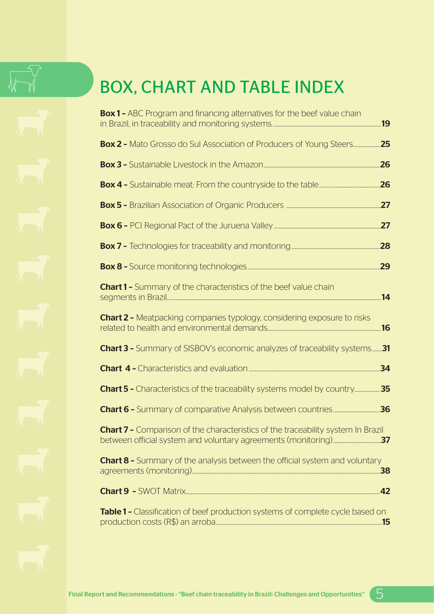### BOX, CHART AND TABLE INDEX

| <b>Box 1 -</b> ABC Program and financing alternatives for the beef value chain          |  |
|-----------------------------------------------------------------------------------------|--|
|                                                                                         |  |
|                                                                                         |  |
|                                                                                         |  |
|                                                                                         |  |
|                                                                                         |  |
|                                                                                         |  |
|                                                                                         |  |
| <b>Chart 1 -</b> Summary of the characteristics of the beef value chain                 |  |
| <b>Chart 2 -</b> Meatpacking companies typology, considering exposure to risks          |  |
| <b>Chart 3 -</b> Summary of SISBOV's economic analyzes of traceability systems 31       |  |
|                                                                                         |  |
|                                                                                         |  |
|                                                                                         |  |
| <b>Chart 7 -</b> Comparison of the characteristics of the traceability system In Brazil |  |
| <b>Chart 8 -</b> Summary of the analysis between the official system and voluntary      |  |
|                                                                                         |  |
| Table 1 - Classification of beef production systems of complete cycle based on          |  |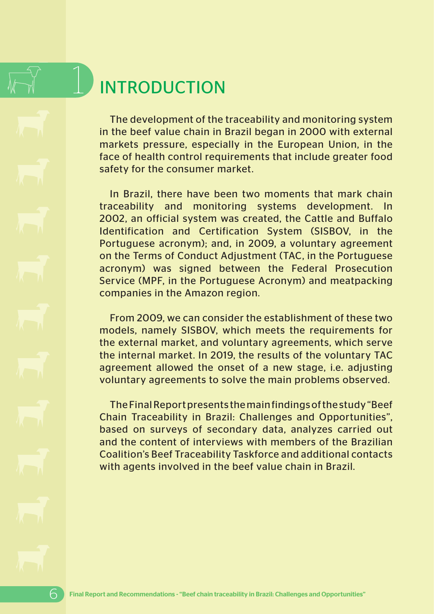### **INTRODUCTION**

The development of the traceability and monitoring system in the beef value chain in Brazil began in 2000 with external markets pressure, especially in the European Union, in the face of health control requirements that include greater food safety for the consumer market.

In Brazil, there have been two moments that mark chain traceability and monitoring systems development. In 2002, an official system was created, the Cattle and Buffalo Identification and Certification System (SISBOV, in the Portuguese acronym); and, in 2009, a voluntary agreement on the Terms of Conduct Adjustment (TAC, in the Portuguese acronym) was signed between the Federal Prosecution Service (MPF, in the Portuguese Acronym) and meatpacking companies in the Amazon region.

From 2009, we can consider the establishment of these two models, namely SISBOV, which meets the requirements for the external market, and voluntary agreements, which serve the internal market. In 2019, the results of the voluntary TAC agreement allowed the onset of a new stage, i.e. adjusting voluntary agreements to solve the main problems observed.

The Final Report presents the main findings of the study "Beef Chain Traceability in Brazil: Challenges and Opportunities", based on surveys of secondary data, analyzes carried out and the content of interviews with members of the Brazilian Coalition's Beef Traceability Taskforce and additional contacts with agents involved in the beef value chain in Brazil.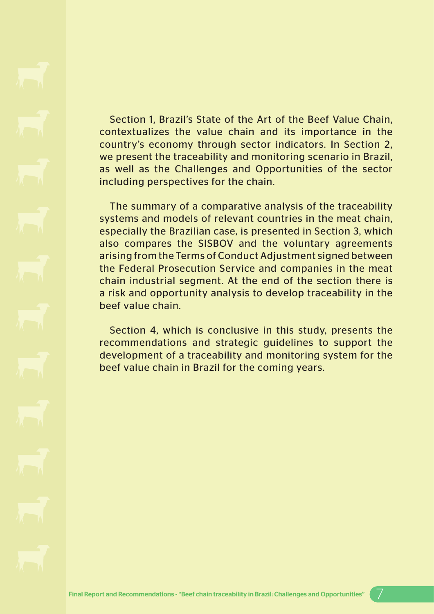Section 1, Brazil's State of the Art of the Beef Value Chain, contextualizes the value chain and its importance in the country's economy through sector indicators. In Section 2, we present the traceability and monitoring scenario in Brazil, as well as the Challenges and Opportunities of the sector including perspectives for the chain.

The summary of a comparative analysis of the traceability systems and models of relevant countries in the meat chain, especially the Brazilian case, is presented in Section 3, which also compares the SISBOV and the voluntary agreements arising from the Terms of Conduct Adjustment signed between the Federal Prosecution Service and companies in the meat chain industrial segment. At the end of the section there is a risk and opportunity analysis to develop traceability in the beef value chain.

Section 4, which is conclusive in this study, presents the recommendations and strategic guidelines to support the development of a traceability and monitoring system for the beef value chain in Brazil for the coming years.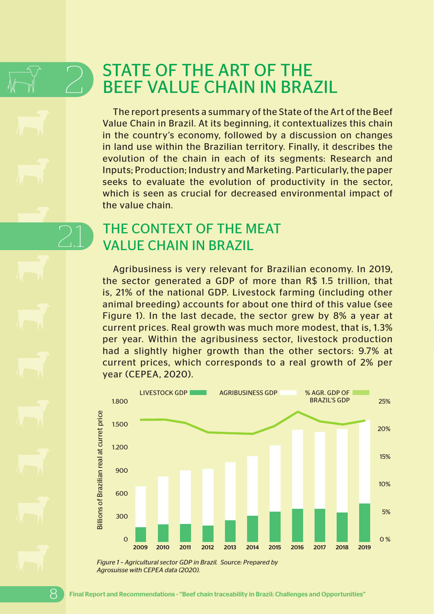# STATE OF THE ART OF THE 2 BEEF VALUE CHAIN IN BRAZIL

The report presents a summary of the State of the Art of the Beef Value Chain in Brazil. At its beginning, it contextualizes this chain in the country's economy, followed by a discussion on changes in land use within the Brazilian territory. Finally, it describes the evolution of the chain in each of its segments: Research and Inputs; Production; Industry and Marketing. Particularly, the paper seeks to evaluate the evolution of productivity in the sector, which is seen as crucial for decreased environmental impact of the value chain.

## THE CONTEXT OF THE MEAT<br>VALUE CHAIN IN BRAZIL

Agribusiness is very relevant for Brazilian economy. In 2019, the sector generated a GDP of more than R\$ 1.5 trillion, that is, 21% of the national GDP. Livestock farming (including other animal breeding) accounts for about one third of this value (see Figure 1). In the last decade, the sector grew by 8% a year at current prices. Real growth was much more modest, that is, 1.3% per year. Within the agribusiness sector, livestock production had a slightly higher growth than the other sectors: 9.7% at current prices, which corresponds to a real growth of 2% per year (CEPEA, 2020).



*Figure 1 – Agricultural sector GDP in Brazil. Source: Prepared by Agrosuisse with CEPEA data (2020).*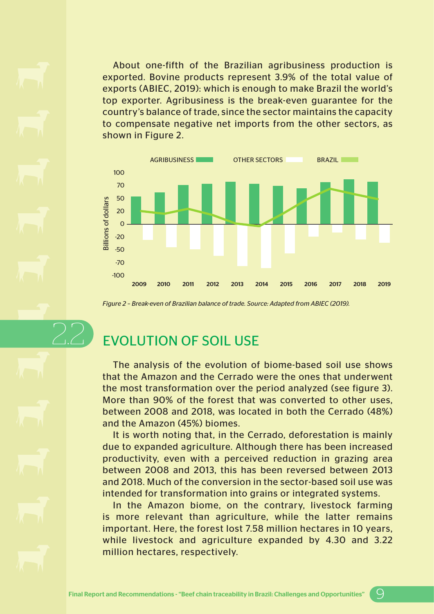About one-fifth of the Brazilian agribusiness production is exported. Bovine products represent 3.9% of the total value of exports (ABIEC, 2019): which is enough to make Brazil the world's top exporter. Agribusiness is the break-even guarantee for the country's balance of trade, since the sector maintains the capacity to compensate negative net imports from the other sectors, as shown in Figure 2.



*Figure 2 – Break-even of Brazilian balance of trade. Source: Adapted from ABIEC (2019).*

#### **EVOLUTION OF SOIL USE**

The analysis of the evolution of biome-based soil use shows that the Amazon and the Cerrado were the ones that underwent the most transformation over the period analyzed (see figure 3). More than 90% of the forest that was converted to other uses, between 2008 and 2018, was located in both the Cerrado (48%) and the Amazon (45%) biomes.

It is worth noting that, in the Cerrado, deforestation is mainly due to expanded agriculture. Although there has been increased productivity, even with a perceived reduction in grazing area between 2008 and 2013, this has been reversed between 2013 and 2018. Much of the conversion in the sector-based soil use was intended for transformation into grains or integrated systems.

In the Amazon biome, on the contrary, livestock farming is more relevant than agriculture, while the latter remains important. Here, the forest lost 7.58 million hectares in 10 years, while livestock and agriculture expanded by 4.30 and 3.22 million hectares, respectively.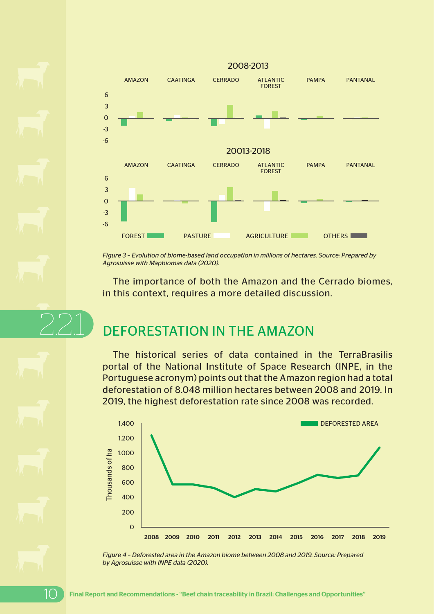

*Figure 3 – Evolution of biome-based land occupation in millions of hectares. Source: Prepared by Agrosuisse with Mapbiomas data (2020).*

The importance of both the Amazon and the Cerrado biomes, in this context, requires a more detailed discussion.

#### DEFORESTATION IN THE AMAZON

The historical series of data contained in the TerraBrasilis portal of the National Institute of Space Research (INPE, in the Portuguese acronym) points out that the Amazon region had a total deforestation of 8.048 million hectares between 2008 and 2019. In 2019, the highest deforestation rate since 2008 was recorded.



*Figure 4 – Deforested area in the Amazon biome between 2008 and 2019. Source: Prepared by Agrosuisse with INPE data (2020).*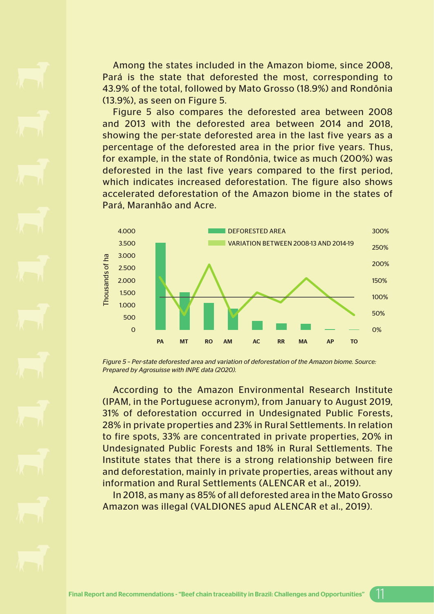Among the states included in the Amazon biome, since 2008, Pará is the state that deforested the most, corresponding to 43.9% of the total, followed by Mato Grosso (18.9%) and Rondônia (13.9%), as seen on Figure 5.

Figure 5 also compares the deforested area between 2008 and 2013 with the deforested area between 2014 and 2018, showing the per-state deforested area in the last five years as a percentage of the deforested area in the prior five years. Thus, for example, in the state of Rondônia, twice as much (200%) was deforested in the last five years compared to the first period, which indicates increased deforestation. The figure also shows accelerated deforestation of the Amazon biome in the states of Pará, Maranhão and Acre.



*Figure 5 – Per-state deforested area and variation of deforestation of the Amazon biome. Source: Prepared by Agrosuisse with INPE data (2020).*

According to the Amazon Environmental Research Institute (IPAM, in the Portuguese acronym), from January to August 2019, 31% of deforestation occurred in Undesignated Public Forests, 28% in private properties and 23% in Rural Settlements. In relation to fire spots, 33% are concentrated in private properties, 20% in Undesignated Public Forests and 18% in Rural Settlements. The Institute states that there is a strong relationship between fire and deforestation, mainly in private properties, areas without any information and Rural Settlements (ALENCAR et al., 2019).

In 2018, as many as 85% of all deforested area in the Mato Grosso Amazon was illegal (VALDIONES apud ALENCAR et al., 2019).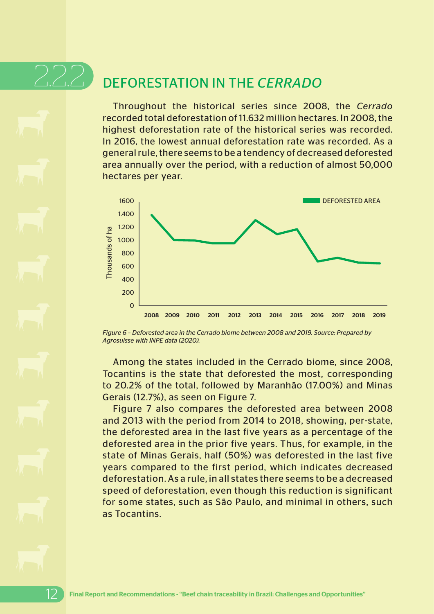

#### 2.2.2 DEFORESTATION IN THE *CERRADO*

Throughout the historical series since 2008, the *Cerrado* recorded total deforestation of 11.632 million hectares. In 2008, the highest deforestation rate of the historical series was recorded. In 2016, the lowest annual deforestation rate was recorded. As a general rule, there seems to be a tendency of decreased deforested area annually over the period, with a reduction of almost 50,000 hectares per year.



*Figure 6 – Deforested area in the Cerrado biome between 2008 and 2019. Source: Prepared by Agrosuisse with INPE data (2020).*

Among the states included in the Cerrado biome, since 2008, Tocantins is the state that deforested the most, corresponding to 20.2% of the total, followed by Maranhão (17.00%) and Minas Gerais (12.7%), as seen on Figure 7.

Figure 7 also compares the deforested area between 2008 and 2013 with the period from 2014 to 2018, showing, per-state, the deforested area in the last five years as a percentage of the deforested area in the prior five years. Thus, for example, in the state of Minas Gerais, half (50%) was deforested in the last five years compared to the first period, which indicates decreased deforestation. As a rule, in all states there seems to be a decreased speed of deforestation, even though this reduction is significant for some states, such as São Paulo, and minimal in others, such as Tocantins.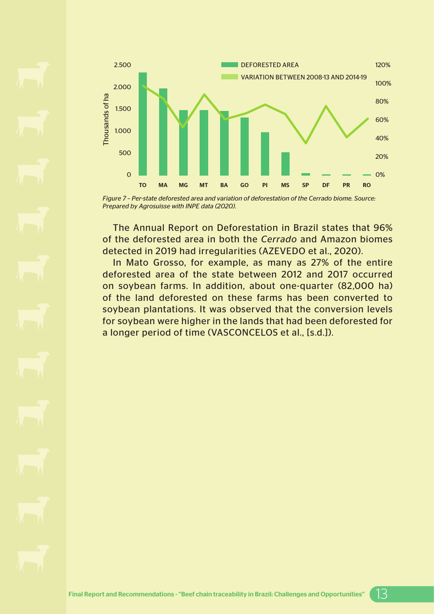

*Figure 7 – Per-state deforested area and variation of deforestation of the Cerrado biome. Source: Prepared by Agrosuisse with INPE data (2020).*

The Annual Report on Deforestation in Brazil states that 96% of the deforested area in both the *Cerrado* and Amazon biomes detected in 2019 had irregularities (AZEVEDO et al., 2020).

In Mato Grosso, for example, as many as 27% of the entire deforested area of the state between 2012 and 2017 occurred on soybean farms. In addition, about one-quarter (82,000 ha) of the land deforested on these farms has been converted to soybean plantations. It was observed that the conversion levels for soybean were higher in the lands that had been deforested for a longer period of time (VASCONCELOS et al., [s.d.]).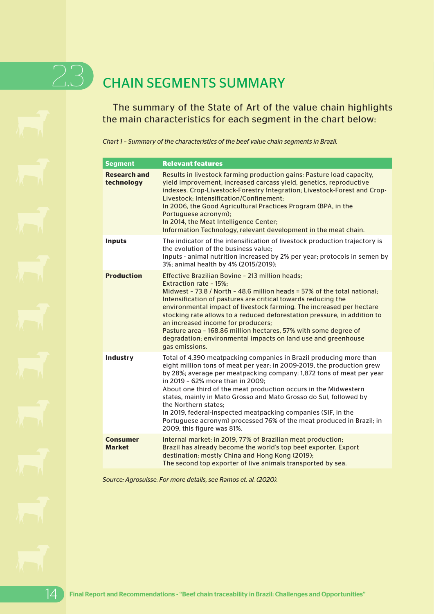### 2.3 CHAIN SEGMENTS SUMMARY

The summary of the State of Art of the value chain highlights the main characteristics for each segment in the chart below:

*Chart 1 – Summary of the characteristics of the beef value chain segments in Brazil.*

| <b>Segment</b>                    | <b>Relevant features</b>                                                                                                                                                                                                                                                                                                                                                                                                                                                                                                                                                                        |  |  |  |  |  |
|-----------------------------------|-------------------------------------------------------------------------------------------------------------------------------------------------------------------------------------------------------------------------------------------------------------------------------------------------------------------------------------------------------------------------------------------------------------------------------------------------------------------------------------------------------------------------------------------------------------------------------------------------|--|--|--|--|--|
| <b>Research and</b><br>technology | Results in livestock farming production gains: Pasture load capacity,<br>yield improvement, increased carcass yield, genetics, reproductive<br>indexes. Crop-Livestock-Forestry Integration; Livestock-Forest and Crop-<br>Livestock; Intensification/Confinement;<br>In 2006, the Good Agricultural Practices Program (BPA, in the<br>Portuguese acronym);<br>In 2014, the Meat Intelligence Center;<br>Information Technology, relevant development in the meat chain.                                                                                                                        |  |  |  |  |  |
| <b>Inputs</b>                     | The indicator of the intensification of livestock production trajectory is<br>the evolution of the business value:<br>Inputs - animal nutrition increased by 2% per year; protocols in semen by<br>3%; animal health by 4% (2015/2019);                                                                                                                                                                                                                                                                                                                                                         |  |  |  |  |  |
| <b>Production</b>                 | Effective Brazilian Bovine - 213 million heads:<br>Extraction rate - 15%:<br>Midwest - 73.8 / North - 48.6 million heads = 57% of the total national;<br>Intensification of pastures are critical towards reducing the<br>environmental impact of livestock farming. The increased per hectare<br>stocking rate allows to a reduced deforestation pressure, in addition to<br>an increased income for producers;<br>Pasture area - 168.86 million hectares, 57% with some degree of<br>degradation; environmental impacts on land use and greenhouse<br>gas emissions.                          |  |  |  |  |  |
| <b>Industry</b>                   | Total of 4,390 meatpacking companies in Brazil producing more than<br>eight million tons of meat per year; in 2009-2019, the production grew<br>by 28%; average per meatpacking company: 1,872 tons of meat per year<br>in 2019 - 62% more than in 2009:<br>About one third of the meat production occurs in the Midwestern<br>states, mainly in Mato Grosso and Mato Grosso do Sul, followed by<br>the Northern states:<br>In 2019, federal-inspected meatpacking companies (SIF, in the<br>Portuguese acronym) processed 76% of the meat produced in Brazil; in<br>2009, this figure was 81%. |  |  |  |  |  |
| <b>Consumer</b><br><b>Market</b>  | Internal market: in 2019, 77% of Brazilian meat production;<br>Brazil has already become the world's top beef exporter. Export<br>destination: mostly China and Hong Kong (2019);<br>The second top exporter of live animals transported by sea.                                                                                                                                                                                                                                                                                                                                                |  |  |  |  |  |

*Source: Agrosuisse. For more details, see Ramos et. al. (2020).*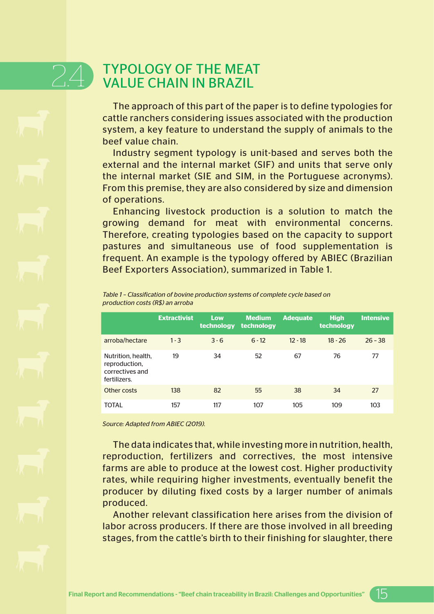## **TYPOLOGY OF THE MEAT<br>VALUE CHAIN IN BRAZIL**

The approach of this part of the paper is to define typologies for cattle ranchers considering issues associated with the production system, a key feature to understand the supply of animals to the beef value chain.

Industry segment typology is unit-based and serves both the external and the internal market (SIF) and units that serve only the internal market (SIE and SIM, in the Portuguese acronyms). From this premise, they are also considered by size and dimension of operations.

Enhancing livestock production is a solution to match the growing demand for meat with environmental concerns. Therefore, creating typologies based on the capacity to support pastures and simultaneous use of food supplementation is frequent. An example is the typology offered by ABIEC (Brazilian Beef Exporters Association), summarized in Table 1.

*Table 1 – Classification of bovine production systems of complete cycle based on production costs (R\$) an arroba*

|                                                                        | <b>Extractivist</b> | Low<br>technology | <b>Medium</b><br>technology | <b>Adequate</b> | <b>High</b><br>technology | <b>Intensive</b> |
|------------------------------------------------------------------------|---------------------|-------------------|-----------------------------|-----------------|---------------------------|------------------|
| arroba/hectare                                                         | $1 - 3$             | $3 - 6$           | $6 - 12$                    | $12 - 18$       | $18 - 26$                 | $26 - 38$        |
| Nutrition, health,<br>reproduction,<br>correctives and<br>fertilizers. | 19                  | 34                | 52                          | 67              | 76                        | 77               |
| Other costs                                                            | 138                 | 82                | 55                          | 38              | 34                        | 27               |
| TOTAL                                                                  | 157                 | 117               | 107                         | 105             | 109                       | 103              |

*Source: Adapted from ABIEC (2019).*

The data indicates that, while investing more in nutrition, health, reproduction, fertilizers and correctives, the most intensive farms are able to produce at the lowest cost. Higher productivity rates, while requiring higher investments, eventually benefit the producer by diluting fixed costs by a larger number of animals produced.

Another relevant classification here arises from the division of labor across producers. If there are those involved in all breeding stages, from the cattle's birth to their finishing for slaughter, there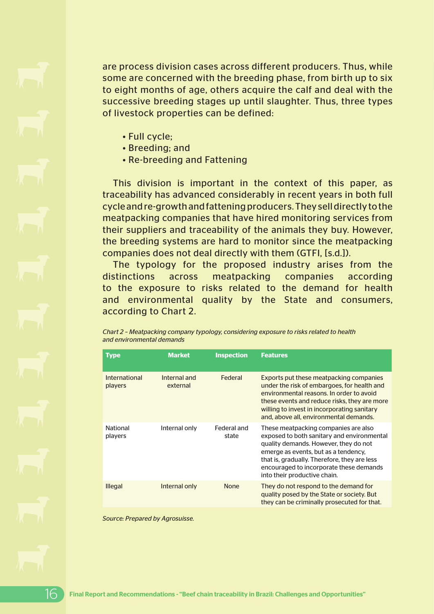are process division cases across different producers. Thus, while some are concerned with the breeding phase, from birth up to six to eight months of age, others acquire the calf and deal with the successive breeding stages up until slaughter. Thus, three types of livestock properties can be defined:

- Full cycle;
- Breeding; and
- Re-breeding and Fattening

This division is important in the context of this paper, as traceability has advanced considerably in recent years in both full cycle and re-growth and fattening producers. They sell directly to the meatpacking companies that have hired monitoring services from their suppliers and traceability of the animals they buy. However, the breeding systems are hard to monitor since the meatpacking companies does not deal directly with them (GTFI, [s.d.]).

The typology for the proposed industry arises from the distinctions across meatpacking companies according to the exposure to risks related to the demand for health and environmental quality by the State and consumers, according to Chart 2.

*Chart 2 – Meatpacking company typology, considering exposure to risks related to health and environmental demands*

| <b>Type</b>                     | <b>Market</b>            | <b>Inspection</b>    | <b>Features</b>                                                                                                                                                                                                                                                                                |
|---------------------------------|--------------------------|----------------------|------------------------------------------------------------------------------------------------------------------------------------------------------------------------------------------------------------------------------------------------------------------------------------------------|
| <b>International</b><br>players | Internal and<br>external | Federal              | Exports put these meatpacking companies<br>under the risk of embargoes, for health and<br>environmental reasons. In order to avoid<br>these events and reduce risks, they are more<br>willing to invest in incorporating sanitary<br>and, above all, environmental demands.                    |
| <b>National</b><br>players      | Internal only            | Federal and<br>state | These meatpacking companies are also<br>exposed to both sanitary and environmental<br>quality demands. However, they do not<br>emerge as events, but as a tendency,<br>that is, gradually. Therefore, they are less<br>encouraged to incorporate these demands<br>into their productive chain. |
| <b>Illegal</b>                  | Internal only            | <b>None</b>          | They do not respond to the demand for<br>quality posed by the State or society. But<br>they can be criminally prosecuted for that.                                                                                                                                                             |

*Source: Prepared by Agrosuisse.*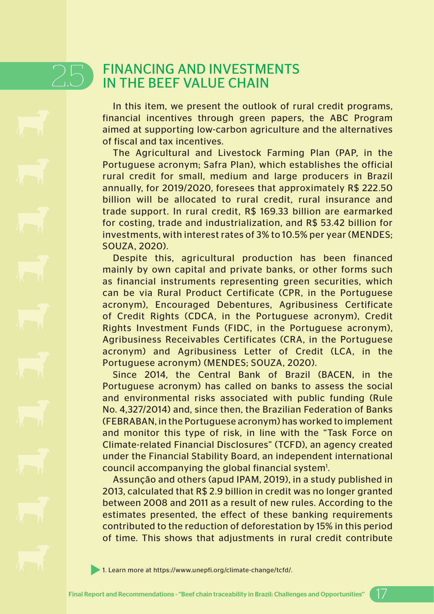### FINANCING AND INVESTMENTS<br>IN THE BEEF VALUE CHAIN

In this item, we present the outlook of rural credit programs, financial incentives through green papers, the ABC Program aimed at supporting low-carbon agriculture and the alternatives of fiscal and tax incentives.

The Agricultural and Livestock Farming Plan (PAP, in the Portuguese acronym; Safra Plan), which establishes the official rural credit for small, medium and large producers in Brazil annually, for 2019/2020, foresees that approximately R\$ 222.50 billion will be allocated to rural credit, rural insurance and trade support. In rural credit, R\$ 169.33 billion are earmarked for costing, trade and industrialization, and R\$ 53.42 billion for investments, with interest rates of 3% to 10.5% per year (MENDES; SOUZA, 2020).

Despite this, agricultural production has been financed mainly by own capital and private banks, or other forms such as financial instruments representing green securities, which can be via Rural Product Certificate (CPR, in the Portuguese acronym), Encouraged Debentures, Agribusiness Certificate of Credit Rights (CDCA, in the Portuguese acronym), Credit Rights Investment Funds (FIDC, in the Portuguese acronym), Agribusiness Receivables Certificates (CRA, in the Portuguese acronym) and Agribusiness Letter of Credit (LCA, in the Portuguese acronym) (MENDES; SOUZA, 2020).

Since 2014, the Central Bank of Brazil (BACEN, in the Portuguese acronym) has called on banks to assess the social and environmental risks associated with public funding (Rule No. 4,327/2014) and, since then, the Brazilian Federation of Banks (FEBRABAN, in the Portuguese acronym) has worked to implement and monitor this type of risk, in line with the "Task Force on Climate-related Financial Disclosures" (TCFD), an agency created under the Financial Stability Board, an independent international council accompanying the global financial system<sup>1</sup>.

Assunção and others (apud IPAM, 2019), in a study published in 2013, calculated that R\$ 2.9 billion in credit was no longer granted between 2008 and 2011 as a result of new rules. According to the estimates presented, the effect of these banking requirements contributed to the reduction of deforestation by 15% in this period of time. This shows that adjustments in rural credit contribute

1. Learn more at https://www.unepfi.org/climate-change/tcfd/.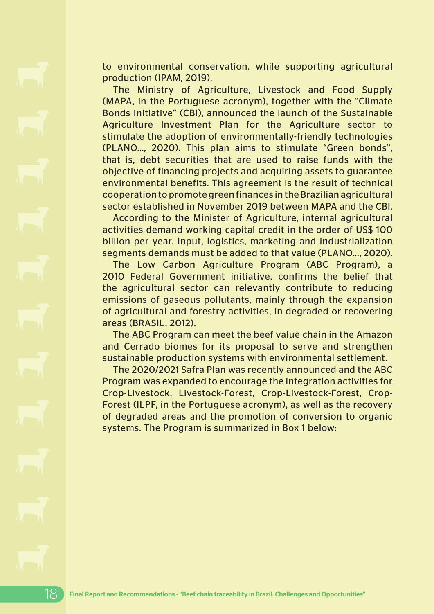to environmental conservation, while supporting agricultural production (IPAM, 2019).

The Ministry of Agriculture, Livestock and Food Supply (MAPA, in the Portuguese acronym), together with the "Climate Bonds Initiative" (CBI), announced the launch of the Sustainable Agriculture Investment Plan for the Agriculture sector to stimulate the adoption of environmentally-friendly technologies (PLANO..., 2020). This plan aims to stimulate "Green bonds", that is, debt securities that are used to raise funds with the objective of financing projects and acquiring assets to guarantee environmental benefits. This agreement is the result of technical cooperation to promote green finances in the Brazilian agricultural sector established in November 2019 between MAPA and the CBI.

According to the Minister of Agriculture, internal agricultural activities demand working capital credit in the order of US\$ 100 billion per year. Input, logistics, marketing and industrialization segments demands must be added to that value (PLANO..., 2020).

The Low Carbon Agriculture Program (ABC Program), a 2010 Federal Government initiative, confirms the belief that the agricultural sector can relevantly contribute to reducing emissions of gaseous pollutants, mainly through the expansion of agricultural and forestry activities, in degraded or recovering areas (BRASIL, 2012).

The ABC Program can meet the beef value chain in the Amazon and Cerrado biomes for its proposal to serve and strengthen sustainable production systems with environmental settlement.

The 2020/2021 Safra Plan was recently announced and the ABC Program was expanded to encourage the integration activities for Crop-Livestock, Livestock-Forest, Crop-Livestock-Forest, Crop-Forest (ILPF, in the Portuguese acronym), as well as the recovery of degraded areas and the promotion of conversion to organic systems. The Program is summarized in Box 1 below: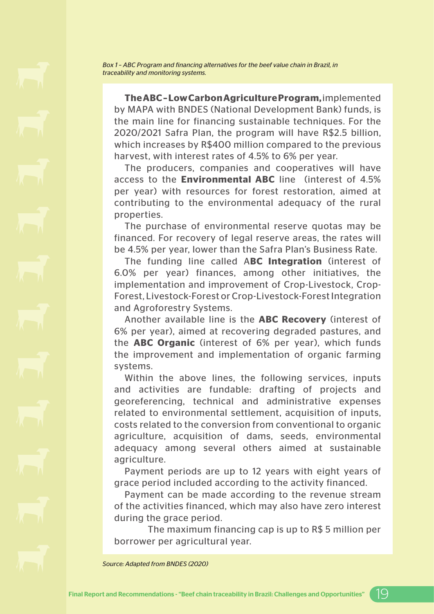*Box 1 – ABC Program and financing alternatives for the beef value chain in Brazil, in traceability and monitoring systems.*

**The ABC – Low Carbon Agriculture Program,** implemented by MAPA with BNDES (National Development Bank) funds, is the main line for financing sustainable techniques. For the 2020/2021 Safra Plan, the program will have R\$2.5 billion, which increases by R\$400 million compared to the previous harvest, with interest rates of 4.5% to 6% per year.

The producers, companies and cooperatives will have access to the **Environmental ABC** line (interest of 4.5% per year) with resources for forest restoration, aimed at contributing to the environmental adequacy of the rural properties.

The purchase of environmental reserve quotas may be financed. For recovery of legal reserve areas, the rates will be 4.5% per year, lower than the Safra Plan's Business Rate.

The funding line called A**BC Integration** (interest of 6.0% per year) finances, among other initiatives, the implementation and improvement of Crop-Livestock, Crop-Forest, Livestock-Forest or Crop-Livestock-Forest Integration and Agroforestry Systems.

Another available line is the **ABC Recovery** (interest of 6% per year), aimed at recovering degraded pastures, and the **ABC Organic** (interest of 6% per year), which funds the improvement and implementation of organic farming systems.

Within the above lines, the following services, inputs and activities are fundable: drafting of projects and georeferencing, technical and administrative expenses related to environmental settlement, acquisition of inputs, costs related to the conversion from conventional to organic agriculture, acquisition of dams, seeds, environmental adequacy among several others aimed at sustainable agriculture.

Payment periods are up to 12 years with eight years of grace period included according to the activity financed.

Payment can be made according to the revenue stream of the activities financed, which may also have zero interest during the grace period.

 The maximum financing cap is up to R\$ 5 million per borrower per agricultural year.

*Source: Adapted from BNDES (2020)*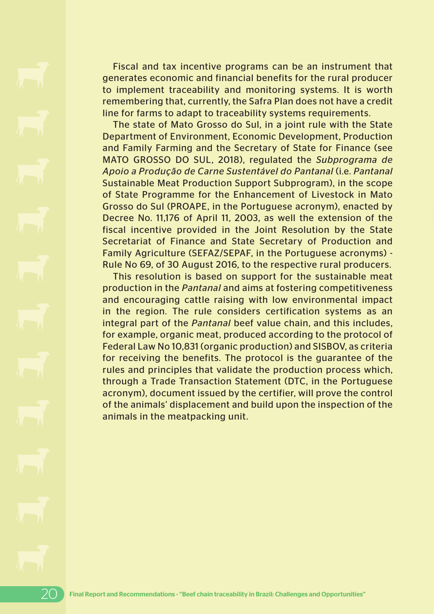Fiscal and tax incentive programs can be an instrument that generates economic and financial benefits for the rural producer to implement traceability and monitoring systems. It is worth remembering that, currently, the Safra Plan does not have a credit line for farms to adapt to traceability systems requirements.

The state of Mato Grosso do Sul, in a joint rule with the State Department of Environment, Economic Development, Production and Family Farming and the Secretary of State for Finance (see MATO GROSSO DO SUL, 2018), regulated the *Subprograma de Apoio a Produção de Carne Sustentável do Pantanal* (i.e. *Pantanal* Sustainable Meat Production Support Subprogram), in the scope of State Programme for the Enhancement of Livestock in Mato Grosso do Sul (PROAPE, in the Portuguese acronym), enacted by Decree No. 11,176 of April 11, 2003, as well the extension of the fiscal incentive provided in the Joint Resolution by the State Secretariat of Finance and State Secretary of Production and Family Agriculture (SEFAZ/SEPAF, in the Portuguese acronyms) - Rule No 69, of 30 August 2016, to the respective rural producers.

This resolution is based on support for the sustainable meat production in the *Pantanal* and aims at fostering competitiveness and encouraging cattle raising with low environmental impact in the region. The rule considers certification systems as an integral part of the *Pantanal* beef value chain, and this includes, for example, organic meat, produced according to the protocol of Federal Law No 10,831 (organic production) and SISBOV, as criteria for receiving the benefits. The protocol is the guarantee of the rules and principles that validate the production process which, through a Trade Transaction Statement (DTC, in the Portuguese acronym), document issued by the certifier, will prove the control of the animals' displacement and build upon the inspection of the animals in the meatpacking unit.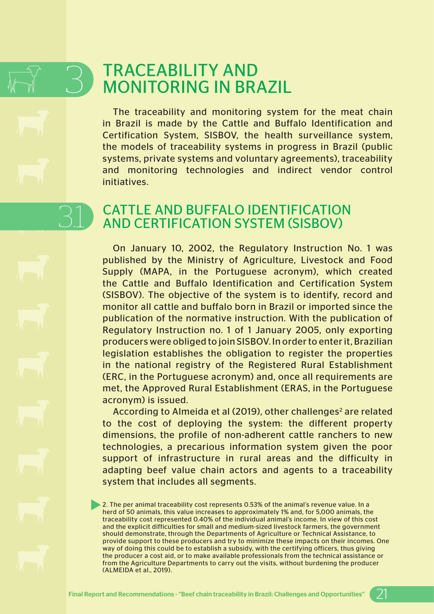## **TRACEABILITY AND<br>MONITORING IN BRAZIL**

The traceability and monitoring system for the meat chain in Brazil is made by the Cattle and Buffalo Identification and Certification System, SISBOV, the health surveillance system, the models of traceability systems in progress in Brazil (public systems, private systems and voluntary agreements), traceability and monitoring technologies and indirect vendor control initiatives.

## **CATTLE AND BUFFALO IDENTIFICATION<br>AND CERTIFICATION SYSTEM (SISBOV)**

On January 10, 2002, the Regulatory Instruction No. 1 was published by the Ministry of Agriculture, Livestock and Food Supply (MAPA, in the Portuguese acronym), which created the Cattle and Buffalo Identification and Certification System (SISBOV). The objective of the system is to identify, record and monitor all cattle and buffalo born in Brazil or imported since the publication of the normative instruction. With the publication of Regulatory Instruction no. 1 of 1 January 2005, only exporting producers were obliged to join SISBOV. In order to enter it, Brazilian legislation establishes the obligation to register the properties in the national registry of the Registered Rural Establishment (ERC, in the Portuguese acronym) and, once all requirements are met, the Approved Rural Establishment (ERAS, in the Portuguese acronym) is issued.

According to Almeida et al (2019), other challenges<sup>2</sup> are related to the cost of deploying the system: the different property dimensions, the profile of non-adherent cattle ranchers to new technologies, a precarious information system given the poor support of infrastructure in rural areas and the difficulty in adapting beef value chain actors and agents to a traceability system that includes all segments.

2. The per animal traceability cost represents 0.53% of the animal's revenue value. In a herd of 50 animals, this value increases to approximately 1% and, for 5,000 animals, the traceability cost represented 0.40% of the individual animal's income. In view of this cost and the explicit difficulties for small and medium-sized livestock farmers, the government should demonstrate, through the Departments of Agriculture or Technical Assistance, to provide support to these producers and try to minimize these impacts on their incomes. One way of doing this could be to establish a subsidy, with the certifying officers, thus giving the producer a cost aid, or to make available professionals from the technical assistance or from the Agriculture Departments to carry out the visits, without burdening the producer (ALMEIDA et al., 2019).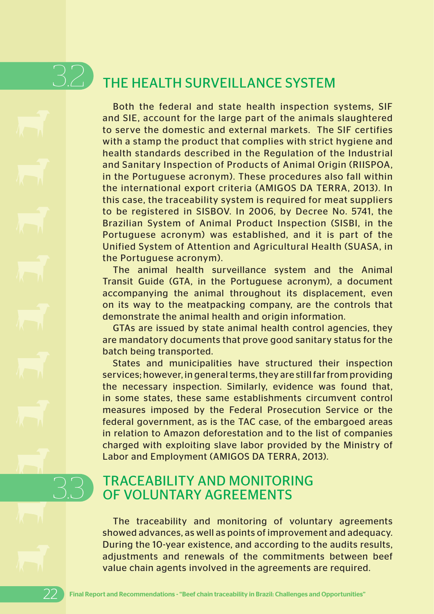3.2

3.3

### THE HEALTH SURVEILLANCE SYSTEM

Both the federal and state health inspection systems, SIF and SIE, account for the large part of the animals slaughtered to serve the domestic and external markets. The SIF certifies with a stamp the product that complies with strict hygiene and health standards described in the Regulation of the Industrial and Sanitary Inspection of Products of Animal Origin (RIISPOA, in the Portuguese acronym). These procedures also fall within the international export criteria (AMIGOS DA TERRA, 2013). In this case, the traceability system is required for meat suppliers to be registered in SISBOV. In 2006, by Decree No. 5741, the Brazilian System of Animal Product Inspection (SISBI, in the Portuguese acronym) was established, and it is part of the Unified System of Attention and Agricultural Health (SUASA, in the Portuguese acronym).

The animal health surveillance system and the Animal Transit Guide (GTA, in the Portuguese acronym), a document accompanying the animal throughout its displacement, even on its way to the meatpacking company, are the controls that demonstrate the animal health and origin information.

GTAs are issued by state animal health control agencies, they are mandatory documents that prove good sanitary status for the batch being transported.

States and municipalities have structured their inspection services; however, in general terms, they are still far from providing the necessary inspection. Similarly, evidence was found that, in some states, these same establishments circumvent control measures imposed by the Federal Prosecution Service or the federal government, as is the TAC case, of the embargoed areas in relation to Amazon deforestation and to the list of companies charged with exploiting slave labor provided by the Ministry of Labor and Employment (AMIGOS DA TERRA, 2013).

#### TRACEABILITY AND MONITORING OF VOLUNTARY AGREEMENTS

The traceability and monitoring of voluntary agreements showed advances, as well as points of improvement and adequacy. During the 10-year existence, and according to the audits results, adjustments and renewals of the commitments between beef value chain agents involved in the agreements are required.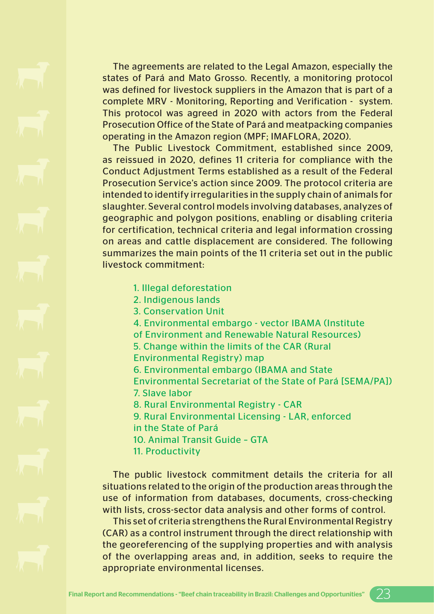The agreements are related to the Legal Amazon, especially the states of Pará and Mato Grosso. Recently, a monitoring protocol was defined for livestock suppliers in the Amazon that is part of a complete MRV - Monitoring, Reporting and Verification - system. This protocol was agreed in 2020 with actors from the Federal Prosecution Office of the State of Pará and meatpacking companies operating in the Amazon region (MPF; IMAFLORA, 2020).

The Public Livestock Commitment, established since 2009, as reissued in 2020, defines 11 criteria for compliance with the Conduct Adjustment Terms established as a result of the Federal Prosecution Service's action since 2009. The protocol criteria are intended to identify irregularities in the supply chain of animals for slaughter. Several control models involving databases, analyzes of geographic and polygon positions, enabling or disabling criteria for certification, technical criteria and legal information crossing on areas and cattle displacement are considered. The following summarizes the main points of the 11 criteria set out in the public livestock commitment:

- 1. Illegal deforestation
- 2. Indigenous lands
- 3. Conservation Unit
- 4. Environmental embargo vector IBAMA (Institute
- of Environment and Renewable Natural Resources)
- 5. Change within the limits of the CAR (Rural
- Environmental Registry) map

6. Environmental embargo (IBAMA and State Environmental Secretariat of the State of Pará [SEMA/PA]) 7. Slave labor

- 8. Rural Environmental Registry CAR
- 9. Rural Environmental Licensing LAR, enforced
- in the State of Pará
- 10. Animal Transit Guide GTA
- 11. Productivity

The public livestock commitment details the criteria for all situations related to the origin of the production areas through the use of information from databases, documents, cross-checking with lists, cross-sector data analysis and other forms of control.

This set of criteria strengthens the Rural Environmental Registry (CAR) as a control instrument through the direct relationship with the georeferencing of the supplying properties and with analysis of the overlapping areas and, in addition, seeks to require the appropriate environmental licenses.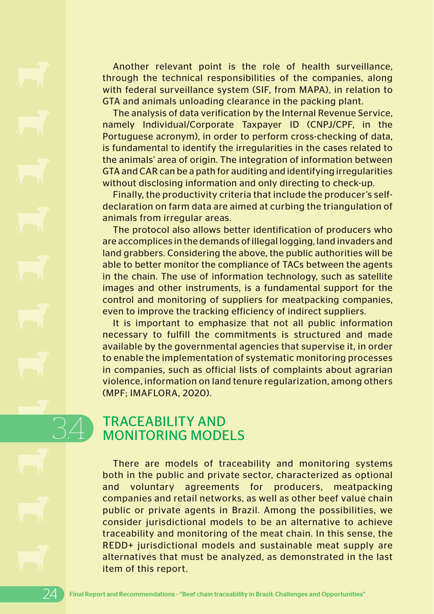Another relevant point is the role of health surveillance, through the technical responsibilities of the companies, along with federal surveillance system (SIF, from MAPA), in relation to GTA and animals unloading clearance in the packing plant.

The analysis of data verification by the Internal Revenue Service, namely Individual/Corporate Taxpayer ID (CNPJ/CPF, in the Portuguese acronym), in order to perform cross-checking of data, is fundamental to identify the irregularities in the cases related to the animals' area of origin. The integration of information between GTA and CAR can be a path for auditing and identifying irregularities without disclosing information and only directing to check-up.

Finally, the productivity criteria that include the producer's selfdeclaration on farm data are aimed at curbing the triangulation of animals from irregular areas.

The protocol also allows better identification of producers who are accomplices in the demands of illegal logging, land invaders and land grabbers. Considering the above, the public authorities will be able to better monitor the compliance of TACs between the agents in the chain. The use of information technology, such as satellite images and other instruments, is a fundamental support for the control and monitoring of suppliers for meatpacking companies, even to improve the tracking efficiency of indirect suppliers.

It is important to emphasize that not all public information necessary to fulfill the commitments is structured and made available by the governmental agencies that supervise it, in order to enable the implementation of systematic monitoring processes in companies, such as official lists of complaints about agrarian violence, information on land tenure regularization, among others (MPF; IMAFLORA, 2020).

## TRACEABILITY AND<br>MONITORING MODELS

There are models of traceability and monitoring systems both in the public and private sector, characterized as optional and voluntary agreements for producers, meatpacking companies and retail networks, as well as other beef value chain public or private agents in Brazil. Among the possibilities, we consider jurisdictional models to be an alternative to achieve traceability and monitoring of the meat chain. In this sense, the REDD+ jurisdictional models and sustainable meat supply are alternatives that must be analyzed, as demonstrated in the last item of this report.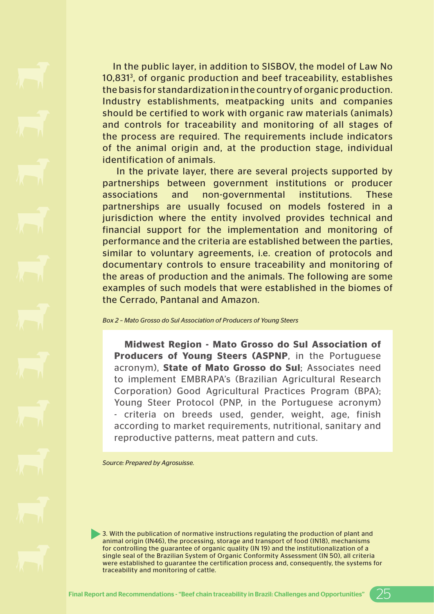In the public layer, in addition to SISBOV, the model of Law No 10,831<sup>3</sup>, of organic production and beef traceability, establishes the basis for standardization in the country of organic production. Industry establishments, meatpacking units and companies should be certified to work with organic raw materials (animals) and controls for traceability and monitoring of all stages of the process are required. The requirements include indicators of the animal origin and, at the production stage, individual identification of animals.

 In the private layer, there are several projects supported by partnerships between government institutions or producer associations and non-governmental institutions. These partnerships are usually focused on models fostered in a jurisdiction where the entity involved provides technical and financial support for the implementation and monitoring of performance and the criteria are established between the parties, similar to voluntary agreements, i.e. creation of protocols and documentary controls to ensure traceability and monitoring of the areas of production and the animals. The following are some examples of such models that were established in the biomes of the Cerrado, Pantanal and Amazon.

#### *Box 2 – Mato Grosso do Sul Association of Producers of Young Steers*

**Midwest Region - Mato Grosso do Sul Association of Producers of Young Steers (ASPNP**, in the Portuguese acronym), **State of Mato Grosso do Sul**; Associates need to implement EMBRAPA's (Brazilian Agricultural Research Corporation) Good Agricultural Practices Program (BPA); Young Steer Protocol (PNP, in the Portuguese acronym) - criteria on breeds used, gender, weight, age, finish according to market requirements, nutritional, sanitary and reproductive patterns, meat pattern and cuts.

*Source: Prepared by Agrosuisse.*

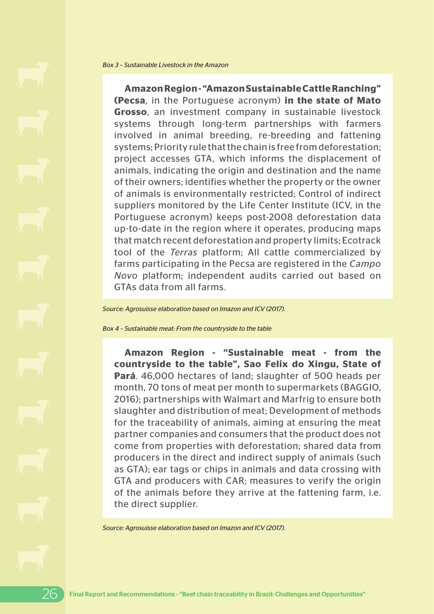#### *Box 3 – Sustainable Livestock in the Amazon*

**Amazon Region - "Amazon Sustainable Cattle Ranching" (Pecsa**, in the Portuguese acronym) **in the state of Mato Grosso**, an investment company in sustainable livestock systems through long-term partnerships with farmers involved in animal breeding, re-breeding and fattening systems; Priority rule that the chain is free from deforestation; project accesses GTA, which informs the displacement of animals, indicating the origin and destination and the name of their owners; identifies whether the property or the owner of animals is environmentally restricted; Control of indirect suppliers monitored by the Life Center Institute (ICV, in the Portuguese acronym) keeps post-2008 deforestation data up-to-date in the region where it operates, producing maps that match recent deforestation and property limits; Ecotrack tool of the *Terras* platform; All cattle commercialized by farms participating in the Pecsa are registered in the *Campo Novo* platform; independent audits carried out based on GTAs data from all farms.

*Source: Agrosuisse elaboration based on Imazon and ICV (2017).*

*Box 4 – Sustainable meat: From the countryside to the table*

**Amazon Region - "Sustainable meat - from the countryside to the table", Sao Felix do Xingu, State of Pará**. 46,000 hectares of land; slaughter of 500 heads per month, 70 tons of meat per month to supermarkets (BAGGIO, 2016); partnerships with Walmart and Marfrig to ensure both slaughter and distribution of meat; Development of methods for the traceability of animals, aiming at ensuring the meat partner companies and consumers that the product does not come from properties with deforestation; shared data from producers in the direct and indirect supply of animals (such as GTA); ear tags or chips in animals and data crossing with GTA and producers with CAR; measures to verify the origin of the animals before they arrive at the fattening farm, i.e. the direct supplier.

*Source: Agrosuisse elaboration based on Imazon and ICV (2017).*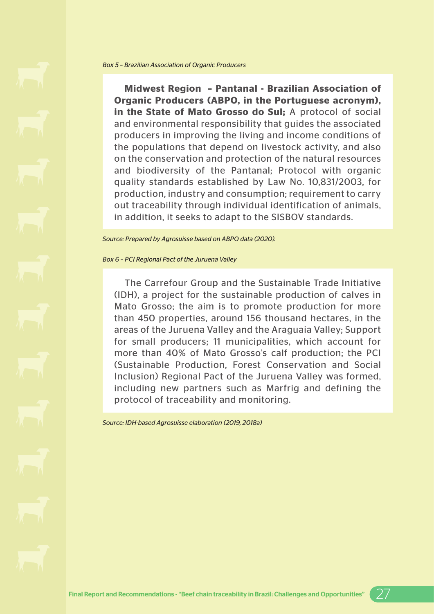#### *Box 5 – Brazilian Association of Organic Producers*

**Midwest Region – Pantanal - Brazilian Association of Organic Producers (ABPO, in the Portuguese acronym), in the State of Mato Grosso do Sul;** A protocol of social and environmental responsibility that guides the associated producers in improving the living and income conditions of the populations that depend on livestock activity, and also on the conservation and protection of the natural resources and biodiversity of the Pantanal; Protocol with organic quality standards established by Law No. 10,831/2003, for production, industry and consumption; requirement to carry out traceability through individual identification of animals, in addition, it seeks to adapt to the SISBOV standards.

#### *Source: Prepared by Agrosuisse based on ABPO data (2020).*

#### *Box 6 – PCI Regional Pact of the Juruena Valley*

The Carrefour Group and the Sustainable Trade Initiative (IDH), a project for the sustainable production of calves in Mato Grosso; the aim is to promote production for more than 450 properties, around 156 thousand hectares, in the areas of the Juruena Valley and the Araguaia Valley; Support for small producers; 11 municipalities, which account for more than 40% of Mato Grosso's calf production; the PCI (Sustainable Production, Forest Conservation and Social Inclusion) Regional Pact of the Juruena Valley was formed, including new partners such as Marfrig and defining the protocol of traceability and monitoring.

*Source: IDH-based Agrosuisse elaboration (2019, 2018a)*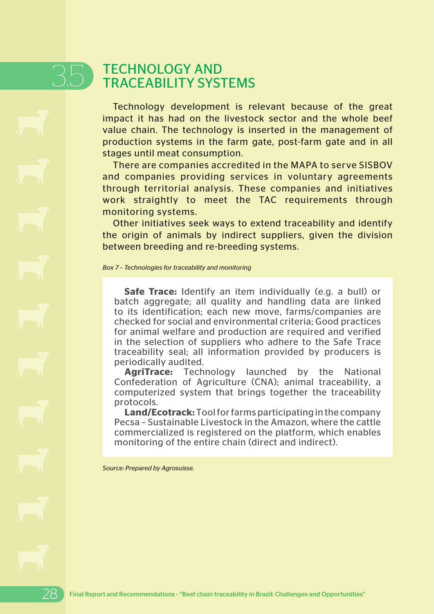## TECHNOLOGY AND<br>3.5 TRACEABILITY SYSTEMS

Technology development is relevant because of the great impact it has had on the livestock sector and the whole beef value chain. The technology is inserted in the management of production systems in the farm gate, post-farm gate and in all stages until meat consumption.

There are companies accredited in the MAPA to serve SISBOV and companies providing services in voluntary agreements through territorial analysis. These companies and initiatives work straightly to meet the TAC requirements through monitoring systems.

Other initiatives seek ways to extend traceability and identify the origin of animals by indirect suppliers, given the division between breeding and re-breeding systems.

*Box 7 – Technologies for traceability and monitoring*

**Safe Trace:** Identify an item individually (e.g. a bull) or batch aggregate; all quality and handling data are linked to its identification; each new move, farms/companies are checked for social and environmental criteria; Good practices for animal welfare and production are required and verified in the selection of suppliers who adhere to the Safe Trace traceability seal; all information provided by producers is periodically audited.

**AgriTrace:** Technology launched by the National Confederation of Agriculture (CNA); animal traceability, a computerized system that brings together the traceability protocols.

**Land/Ecotrack:** Tool for farms participating in the company Pecsa – Sustainable Livestock in the Amazon, where the cattle commercialized is registered on the platform, which enables monitoring of the entire chain (direct and indirect).

*Source: Prepared by Agrosuisse.*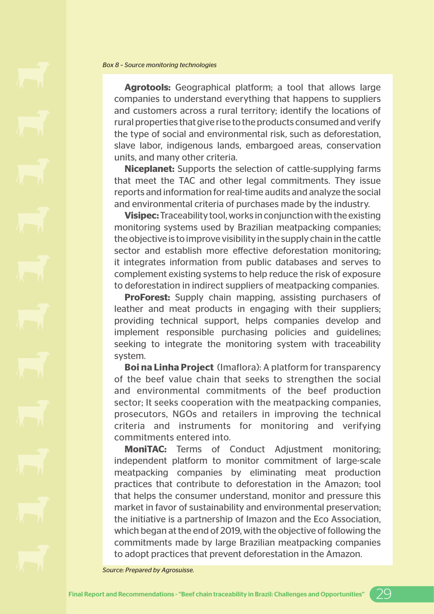#### *Box 8 – Source monitoring technologies*

**Agrotools:** Geographical platform; a tool that allows large companies to understand everything that happens to suppliers and customers across a rural territory; identify the locations of rural properties that give rise to the products consumed and verify the type of social and environmental risk, such as deforestation, slave labor, indigenous lands, embargoed areas, conservation units, and many other criteria.

**Niceplanet:** Supports the selection of cattle-supplying farms that meet the TAC and other legal commitments. They issue reports and information for real-time audits and analyze the social and environmental criteria of purchases made by the industry.

**Visipec:** Traceability tool, works in conjunction with the existing monitoring systems used by Brazilian meatpacking companies; the objective is to improve visibility in the supply chain in the cattle sector and establish more effective deforestation monitoring; it integrates information from public databases and serves to complement existing systems to help reduce the risk of exposure to deforestation in indirect suppliers of meatpacking companies.

**ProForest:** Supply chain mapping, assisting purchasers of leather and meat products in engaging with their suppliers; providing technical support, helps companies develop and implement responsible purchasing policies and guidelines; seeking to integrate the monitoring system with traceability system.

**Boi na Linha Project** (Imaflora): A platform for transparency of the beef value chain that seeks to strengthen the social and environmental commitments of the beef production sector; It seeks cooperation with the meatpacking companies, prosecutors, NGOs and retailers in improving the technical criteria and instruments for monitoring and verifying commitments entered into.

**MoniTAC:** Terms of Conduct Adjustment monitoring; independent platform to monitor commitment of large-scale meatpacking companies by eliminating meat production practices that contribute to deforestation in the Amazon; tool that helps the consumer understand, monitor and pressure this market in favor of sustainability and environmental preservation; the initiative is a partnership of Imazon and the Eco Association, which began at the end of 2019, with the objective of following the commitments made by large Brazilian meatpacking companies to adopt practices that prevent deforestation in the Amazon.

*Source: Prepared by Agrosuisse.*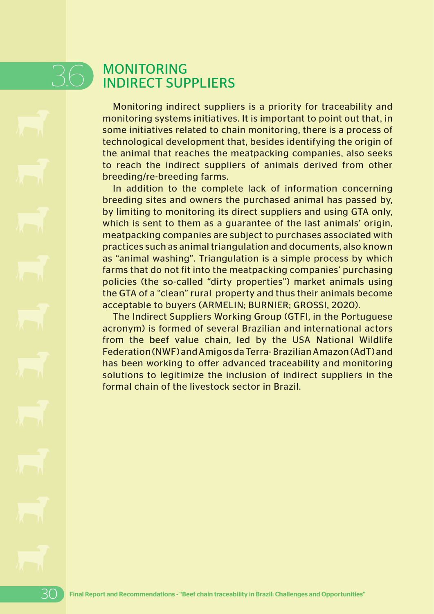### MONITORING<br>INDIRECT SUPPLIERS

Monitoring indirect suppliers is a priority for traceability and monitoring systems initiatives. It is important to point out that, in some initiatives related to chain monitoring, there is a process of technological development that, besides identifying the origin of the animal that reaches the meatpacking companies, also seeks to reach the indirect suppliers of animals derived from other breeding/re-breeding farms.

In addition to the complete lack of information concerning breeding sites and owners the purchased animal has passed by, by limiting to monitoring its direct suppliers and using GTA only, which is sent to them as a guarantee of the last animals' origin, meatpacking companies are subject to purchases associated with practices such as animal triangulation and documents, also known as "animal washing". Triangulation is a simple process by which farms that do not fit into the meatpacking companies' purchasing policies (the so-called "dirty properties") market animals using the GTA of a "clean" rural property and thus their animals become acceptable to buyers (ARMELIN; BURNIER; GROSSI, 2020).

The Indirect Suppliers Working Group (GTFI, in the Portuguese acronym) is formed of several Brazilian and international actors from the beef value chain, led by the USA National Wildlife Federation (NWF) and Amigos da Terra- Brazilian Amazon (AdT) and has been working to offer advanced traceability and monitoring solutions to legitimize the inclusion of indirect suppliers in the formal chain of the livestock sector in Brazil.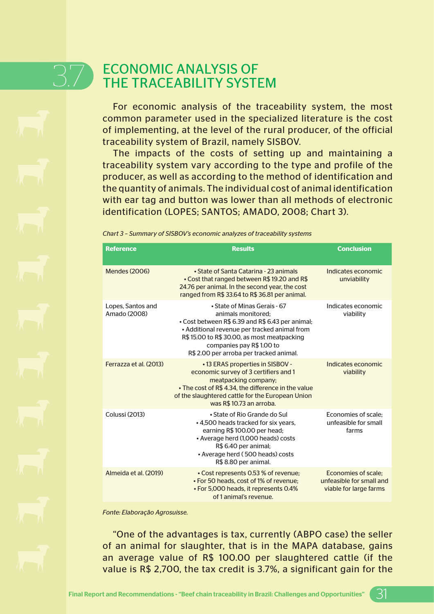## ECONOMIC ANALYSIS OF 3.7 THE TRACEABILITY SYSTEM

For economic analysis of the traceability system, the most common parameter used in the specialized literature is the cost of implementing, at the level of the rural producer, of the official traceability system of Brazil, namely SISBOV.

The impacts of the costs of setting up and maintaining a traceability system vary according to the type and profile of the producer, as well as according to the method of identification and the quantity of animals. The individual cost of animal identification with ear tag and button was lower than all methods of electronic identification (LOPES; SANTOS; AMADO, 2008; Chart 3).

| <b>Reference</b>                  | <b>Results</b>                                                                                                                                                                                                                                                              | <b>Conclusion</b>                                                         |
|-----------------------------------|-----------------------------------------------------------------------------------------------------------------------------------------------------------------------------------------------------------------------------------------------------------------------------|---------------------------------------------------------------------------|
| <b>Mendes (2006)</b>              | • State of Santa Catarina - 23 animals<br>• Cost that ranged between R\$19.20 and R\$<br>24.76 per animal. In the second year, the cost<br>ranged from R\$ 33.64 to R\$ 36.81 per animal.                                                                                   | Indicates economic<br>unviability                                         |
| Lopes, Santos and<br>Amado (2008) | • State of Minas Gerais - 67<br>animals monitored:<br>• Cost between R\$ 6.39 and R\$ 6.43 per animal;<br>• Additional revenue per tracked animal from<br>R\$15.00 to R\$30.00, as most meatpacking<br>companies pay R\$ 1.00 to<br>R\$ 2.00 per arroba per tracked animal. | Indicates economic<br>viability                                           |
| Ferrazza et al. (2013)            | • 13 ERAS properties in SISBOV -<br>economic survey of 3 certifiers and 1<br>meatpacking company;<br>• The cost of R\$ 4.34, the difference in the value<br>of the slaughtered cattle for the European Union<br>was R\$ 10.73 an arroba.                                    | Indicates economic<br>viability                                           |
| Colussi (2013)                    | • State of Rio Grande do Sul<br>• 4,500 heads tracked for six years,<br>earning R\$100.00 per head;<br>• Average herd (1,000 heads) costs<br>R\$ 6.40 per animal;<br>• Average herd (500 heads) costs<br>R\$ 8.80 per animal.                                               | Economies of scale:<br>unfeasible for small<br>farms                      |
| Almeida et al. (2019)             | • Cost represents 0.53 % of revenue;<br>. For 50 heads, cost of 1% of revenue:<br>• For 5,000 heads, it represents 0.4%<br>of 1 animal's revenue.                                                                                                                           | Economies of scale:<br>unfeasible for small and<br>viable for large farms |

*Chart 3 – Summary of SISBOV's economic analyzes of traceability systems*

*Fonte: Elaboração Agrosuisse.*

"One of the advantages is tax, currently (ABPO case) the seller of an animal for slaughter, that is in the MAPA database, gains an average value of R\$ 100.00 per slaughtered cattle (if the value is R\$ 2,700, the tax credit is 3.7%, a significant gain for the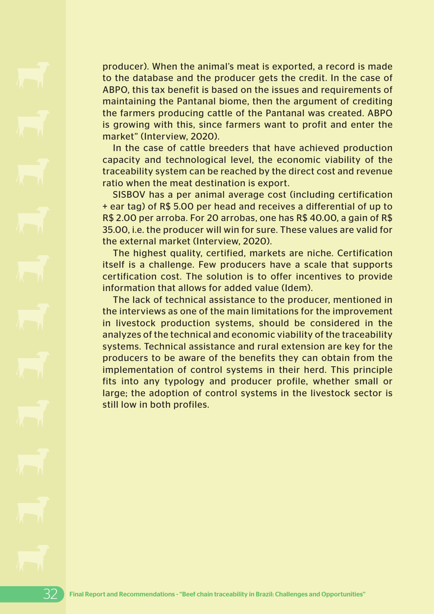producer). When the animal's meat is exported, a record is made to the database and the producer gets the credit. In the case of ABPO, this tax benefit is based on the issues and requirements of maintaining the Pantanal biome, then the argument of crediting the farmers producing cattle of the Pantanal was created. ABPO is growing with this, since farmers want to profit and enter the market" (Interview, 2020).

In the case of cattle breeders that have achieved production capacity and technological level, the economic viability of the traceability system can be reached by the direct cost and revenue ratio when the meat destination is export.

SISBOV has a per animal average cost (including certification + ear tag) of R\$ 5.00 per head and receives a differential of up to R\$ 2.00 per arroba. For 20 arrobas, one has R\$ 40.00, a gain of R\$ 35.00, i.e. the producer will win for sure. These values are valid for the external market (Interview, 2020).

The highest quality, certified, markets are niche. Certification itself is a challenge. Few producers have a scale that supports certification cost. The solution is to offer incentives to provide information that allows for added value (Idem).

The lack of technical assistance to the producer, mentioned in the interviews as one of the main limitations for the improvement in livestock production systems, should be considered in the analyzes of the technical and economic viability of the traceability systems. Technical assistance and rural extension are key for the producers to be aware of the benefits they can obtain from the implementation of control systems in their herd. This principle fits into any typology and producer profile, whether small or large; the adoption of control systems in the livestock sector is still low in both profiles.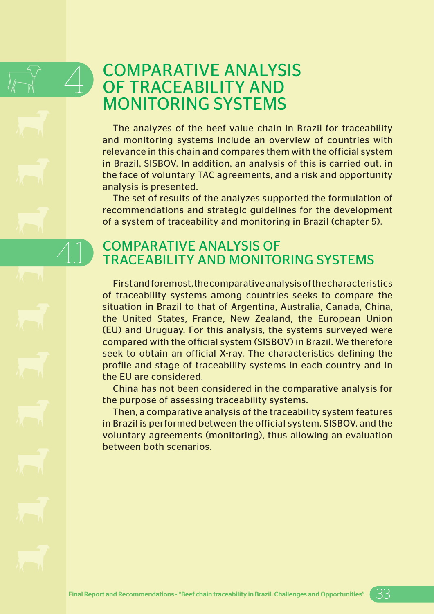#### COMPARATIVE ANALYSIS OF TRACEABILITY AND MONITORING SYSTEMS

4

The analyzes of the beef value chain in Brazil for traceability and monitoring systems include an overview of countries with relevance in this chain and compares them with the official system in Brazil, SISBOV. In addition, an analysis of this is carried out, in the face of voluntary TAC agreements, and a risk and opportunity analysis is presented.

The set of results of the analyzes supported the formulation of recommendations and strategic guidelines for the development of a system of traceability and monitoring in Brazil (chapter 5).

## COMPARATIVE ANALYSIS OF<br>TRACEABILITY AND MONITORING SYSTEMS

First and foremost, the comparative analysis of the characteristics of traceability systems among countries seeks to compare the situation in Brazil to that of Argentina, Australia, Canada, China, the United States, France, New Zealand, the European Union (EU) and Uruguay. For this analysis, the systems surveyed were compared with the official system (SISBOV) in Brazil. We therefore seek to obtain an official X-ray. The characteristics defining the profile and stage of traceability systems in each country and in the EU are considered.

China has not been considered in the comparative analysis for the purpose of assessing traceability systems.

Then, a comparative analysis of the traceability system features in Brazil is performed between the official system, SISBOV, and the voluntary agreements (monitoring), thus allowing an evaluation between both scenarios.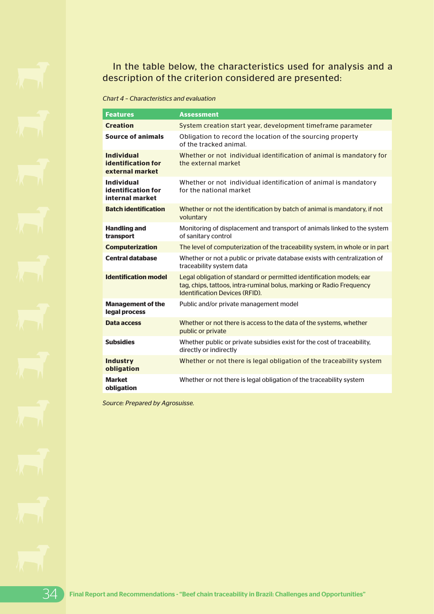#### In the table below, the characteristics used for analysis and a description of the criterion considered are presented:

*Chart 4 – Characteristics and evaluation*

| <b>Features</b>                                                   | <b>Assessment</b>                                                                                                                                                                     |
|-------------------------------------------------------------------|---------------------------------------------------------------------------------------------------------------------------------------------------------------------------------------|
| <b>Creation</b>                                                   | System creation start year, development timeframe parameter                                                                                                                           |
| <b>Source of animals</b>                                          | Obligation to record the location of the sourcing property<br>of the tracked animal.                                                                                                  |
| <b>Individual</b><br><b>identification for</b><br>external market | Whether or not individual identification of animal is mandatory for<br>the external market                                                                                            |
| <b>Individual</b><br>identification for<br>internal market        | Whether or not individual identification of animal is mandatory<br>for the national market                                                                                            |
| <b>Batch identification</b>                                       | Whether or not the identification by batch of animal is mandatory, if not<br>voluntary                                                                                                |
| <b>Handling and</b><br>transport                                  | Monitoring of displacement and transport of animals linked to the system<br>of sanitary control                                                                                       |
| <b>Computerization</b>                                            | The level of computerization of the traceability system, in whole or in part                                                                                                          |
| <b>Central database</b>                                           | Whether or not a public or private database exists with centralization of<br>traceability system data                                                                                 |
| <b>Identification model</b>                                       | Legal obligation of standard or permitted identification models; ear<br>tag, chips, tattoos, intra-ruminal bolus, marking or Radio Frequency<br><b>Identification Devices (RFID).</b> |
| <b>Management of the</b><br>legal process                         | Public and/or private management model                                                                                                                                                |
| Data access                                                       | Whether or not there is access to the data of the systems, whether<br>public or private                                                                                               |
| <b>Subsidies</b>                                                  | Whether public or private subsidies exist for the cost of traceability,<br>directly or indirectly                                                                                     |
| <b>Industry</b><br>obligation                                     | Whether or not there is legal obligation of the traceability system                                                                                                                   |
| <b>Market</b><br>obligation                                       | Whether or not there is legal obligation of the traceability system                                                                                                                   |

*Source: Prepared by Agrosuisse.*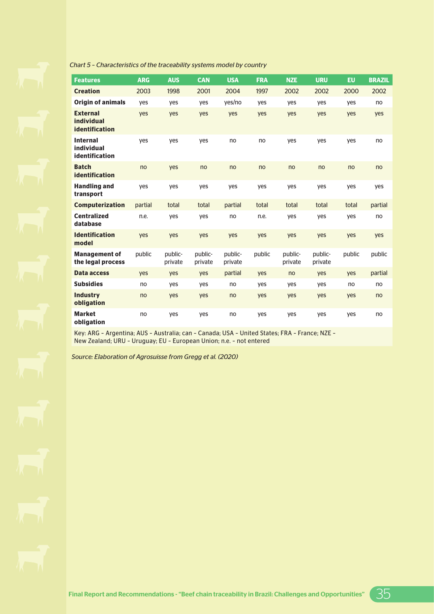*Chart 5 – Characteristics of the traceability systems model by country*

| <b>Features</b>                                        | <b>ARG</b> | <b>AUS</b>         | <b>CAN</b>         | <b>USA</b>         | <b>FRA</b> | <b>NZE</b>         | <b>URU</b>         | <b>EU</b> | <b>BRAZIL</b> |
|--------------------------------------------------------|------------|--------------------|--------------------|--------------------|------------|--------------------|--------------------|-----------|---------------|
| <b>Creation</b>                                        | 2003       | 1998               | 2001               | 2004               | 1997       | 2002               | 2002               | 2000      | 2002          |
| <b>Origin of animals</b>                               | yes        | yes                | yes                | yes/no             | yes        | yes                | yes                | yes       | no            |
| <b>External</b><br>individual<br><b>identification</b> | yes        | yes                | yes                | yes                | yes        | yes                | yes                | yes       | yes           |
| <b>Internal</b><br>individual<br>identification        | yes        | yes                | yes                | no                 | no         | yes                | yes                | yes       | no            |
| <b>Batch</b><br><b>identification</b>                  | no         | yes                | no                 | no                 | no         | no                 | no                 | no        | no            |
| <b>Handling and</b><br>transport                       | yes        | yes                | yes                | yes                | yes        | yes                | yes                | yes       | yes           |
| <b>Computerization</b>                                 | partial    | total              | total              | partial            | total      | total              | total              | total     | partial       |
| <b>Centralized</b><br>database                         | n.e.       | yes                | yes                | no                 | n.e.       | yes                | yes                | yes       | no            |
| <b>Identification</b><br>model                         | yes        | yes                | yes                | yes                | yes        | yes                | yes                | yes       | yes           |
| <b>Management of</b><br>the legal process              | public     | public-<br>private | public-<br>private | public-<br>private | public     | public-<br>private | public-<br>private | public    | public        |
| <b>Data access</b>                                     | yes        | yes                | yes                | partial            | yes        | no                 | yes                | yes       | partial       |
| <b>Subsidies</b>                                       | no         | yes                | yes                | no                 | yes        | yes                | yes                | no        | no            |
| <b>Industry</b><br>obligation                          | no         | yes                | yes                | no                 | yes        | yes                | yes                | yes       | no            |
| <b>Market</b><br>obligation                            | no         | yes                | yes                | no                 | yes        | yes                | yes                | yes       | no            |

Key: ARG – Argentina; AUS – Australia; can – Canada; USA – United States; FRA – France; NZE – New Zealand; URU – Uruguay; EU – European Union; n.e. – not entered

*Source: Elaboration of Agrosuisse from Gregg et al. (2020)*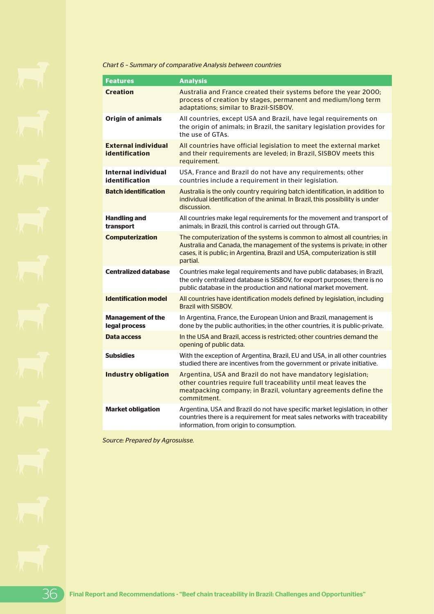*Chart 6 – Summary of comparative Analysis between countries*

| <b>Features</b>                              | <b>Analysis</b>                                                                                                                                                                                                                                 |
|----------------------------------------------|-------------------------------------------------------------------------------------------------------------------------------------------------------------------------------------------------------------------------------------------------|
| <b>Creation</b>                              | Australia and France created their systems before the year 2000;<br>process of creation by stages, permanent and medium/long term<br>adaptations; similar to Brazil-SISBOV.                                                                     |
| <b>Origin of animals</b>                     | All countries, except USA and Brazil, have legal requirements on<br>the origin of animals; in Brazil, the sanitary legislation provides for<br>the use of GTAs.                                                                                 |
| <b>External individual</b><br>identification | All countries have official legislation to meet the external market<br>and their requirements are leveled; in Brazil, SISBOV meets this<br>requirement.                                                                                         |
| Internal individual<br>identification        | USA, France and Brazil do not have any requirements; other<br>countries include a requirement in their legislation.                                                                                                                             |
| <b>Batch identification</b>                  | Australia is the only country requiring batch identification, in addition to<br>individual identification of the animal. In Brazil, this possibility is under<br>discussion.                                                                    |
| <b>Handling and</b><br>transport             | All countries make legal requirements for the movement and transport of<br>animals; in Brazil, this control is carried out through GTA.                                                                                                         |
| <b>Computerization</b>                       | The computerization of the systems is common to almost all countries; in<br>Australia and Canada, the management of the systems is private; in other<br>cases, it is public; in Argentina, Brazil and USA, computerization is still<br>partial. |
| <b>Centralized database</b>                  | Countries make legal requirements and have public databases; in Brazil,<br>the only centralized database is SISBOV, for export purposes, there is no<br>public database in the production and national market movement.                         |
| <b>Identification model</b>                  | All countries have identification models defined by legislation, including<br><b>Brazil with SISBOV.</b>                                                                                                                                        |
| <b>Management of the</b><br>legal process    | In Argentina, France, the European Union and Brazil, management is<br>done by the public authorities; in the other countries, it is public-private.                                                                                             |
| Data access                                  | In the USA and Brazil, access is restricted; other countries demand the<br>opening of public data.                                                                                                                                              |
| <b>Subsidies</b>                             | With the exception of Argentina, Brazil, EU and USA, in all other countries<br>studied there are incentives from the government or private initiative.                                                                                          |
| <b>Industry obligation</b>                   | Argentina, USA and Brazil do not have mandatory legislation;<br>other countries require full traceability until meat leaves the<br>meatpacking company; in Brazil, voluntary agreements define the<br>commitment.                               |
| <b>Market obligation</b>                     | Argentina, USA and Brazil do not have specific market legislation; in other<br>countries there is a requirement for meat sales networks with traceability<br>information, from origin to consumption.                                           |

*Source: Prepared by Agrosuisse.*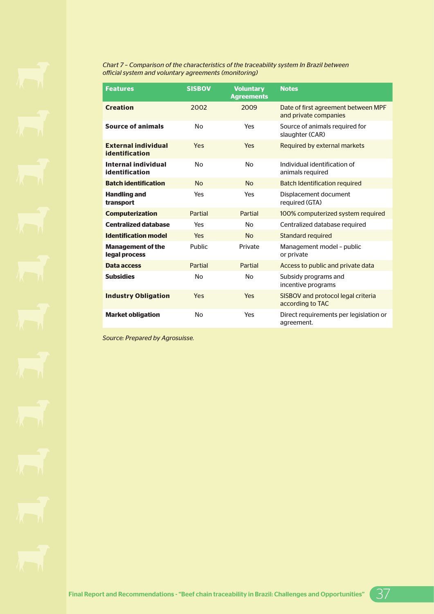*Chart 7 – Comparison of the characteristics of the traceability system In Brazil between official system and voluntary agreements (monitoring)*

| <b>Features</b>                              | <b>SISBOV</b>  | <b>Voluntary</b><br><b>Agreements</b> | <b>Notes</b>                                                 |
|----------------------------------------------|----------------|---------------------------------------|--------------------------------------------------------------|
| <b>Creation</b>                              | 2002           | 2009                                  | Date of first agreement between MPF<br>and private companies |
| <b>Source of animals</b>                     | No             | Yes                                   | Source of animals required for<br>slaughter (CAR)            |
| <b>External individual</b><br>identification | Yes            | Yes                                   | Required by external markets                                 |
| Internal individual<br>identification        | No             | <b>No</b>                             | Individual identification of<br>animals required             |
| <b>Batch identification</b>                  | <b>No</b>      | <b>No</b>                             | <b>Batch Identification required</b>                         |
| <b>Handling and</b><br>transport             | Yes            | Yes                                   | Displacement document<br>required (GTA)                      |
| <b>Computerization</b>                       | <b>Partial</b> | Partial                               | 100% computerized system required                            |
| <b>Centralized database</b>                  | Yes            | No                                    | Centralized database required                                |
| <b>Identification model</b>                  | <b>Yes</b>     | <b>No</b>                             | <b>Standard required</b>                                     |
| <b>Management of the</b><br>legal process    | Public         | Private                               | Management model - public<br>or private                      |
| Data access                                  | <b>Partial</b> | <b>Partial</b>                        | Access to public and private data                            |
| <b>Subsidies</b>                             | <b>No</b>      | No                                    | Subsidy programs and<br>incentive programs                   |
| <b>Industry Obligation</b>                   | Yes            | Yes                                   | SISBOV and protocol legal criteria<br>according to TAC       |
| <b>Market obligation</b>                     | <b>No</b>      | Yes                                   | Direct requirements per legislation or<br>agreement.         |

*Source: Prepared by Agrosuisse.*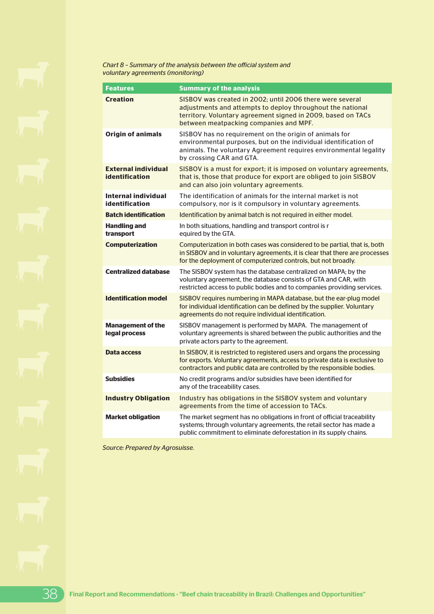*Chart 8 – Summary of the analysis between the official system and voluntary agreements (monitoring)*

| <b>Features</b>                              | <b>Summary of the analysis</b>                                                                                                                                                                                                    |
|----------------------------------------------|-----------------------------------------------------------------------------------------------------------------------------------------------------------------------------------------------------------------------------------|
| <b>Creation</b>                              | SISBOV was created in 2002: until 2006 there were several<br>adjustments and attempts to deploy throughout the national<br>territory. Voluntary agreement signed in 2009, based on TACs<br>between meatpacking companies and MPF. |
| <b>Origin of animals</b>                     | SISBOV has no requirement on the origin of animals for<br>environmental purposes, but on the individual identification of<br>animals. The voluntary Agreement requires environmental legality<br>by crossing CAR and GTA.         |
| <b>External individual</b><br>identification | SISBOV is a must for export; it is imposed on voluntary agreements,<br>that is, those that produce for export are obliged to join SISBOV<br>and can also join voluntary agreements.                                               |
| <b>Internal individual</b><br>identification | The identification of animals for the internal market is not<br>compulsory, nor is it compulsory in voluntary agreements.                                                                                                         |
| <b>Batch identification</b>                  | Identification by animal batch is not required in either model.                                                                                                                                                                   |
| <b>Handling and</b><br>transport             | In both situations, handling and transport control is r<br>equired by the GTA.                                                                                                                                                    |
| <b>Computerization</b>                       | Computerization in both cases was considered to be partial, that is, both<br>in SISBOV and in voluntary agreements, it is clear that there are processes<br>for the deployment of computerized controls, but not broadly.         |
| <b>Centralized database</b>                  | The SISBOV system has the database centralized on MAPA; by the<br>voluntary agreement, the database consists of GTA and CAR, with<br>restricted access to public bodies and to companies providing services.                      |
| <b>Identification model</b>                  | SISBOV requires numbering in MAPA database, but the ear-plug model<br>for individual identification can be defined by the supplier. Voluntary<br>agreements do not require individual identification.                             |
| <b>Management of the</b><br>legal process    | SISBOV management is performed by MAPA. The management of<br>voluntary agreements is shared between the public authorities and the<br>private actors party to the agreement.                                                      |
| Data access                                  | In SISBOV, it is restricted to registered users and organs the processing<br>for exports. Voluntary agreements, access to private data is exclusive to<br>contractors and public data are controlled by the responsible bodies.   |
| <b>Subsidies</b>                             | No credit programs and/or subsidies have been identified for<br>any of the traceability cases.                                                                                                                                    |
| <b>Industry Obligation</b>                   | Industry has obligations in the SISBOV system and voluntary<br>agreements from the time of accession to TACs.                                                                                                                     |
| <b>Market obligation</b>                     | The market segment has no obligations in front of official traceability<br>systems; through voluntary agreements, the retail sector has made a<br>public commitment to eliminate deforestation in its supply chains.              |

*Source: Prepared by Agrosuisse.*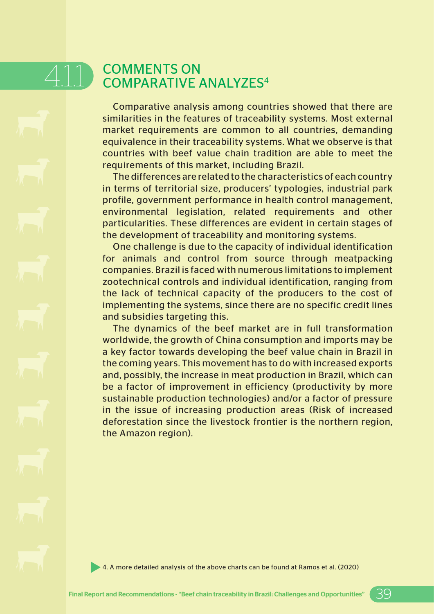### COMMENTS ON **COMPARATIVE ANALYZES4**

Comparative analysis among countries showed that there are similarities in the features of traceability systems. Most external market requirements are common to all countries, demanding equivalence in their traceability systems. What we observe is that countries with beef value chain tradition are able to meet the requirements of this market, including Brazil.

The differences are related to the characteristics of each country in terms of territorial size, producers' typologies, industrial park profile, government performance in health control management, environmental legislation, related requirements and other particularities. These differences are evident in certain stages of the development of traceability and monitoring systems.

One challenge is due to the capacity of individual identification for animals and control from source through meatpacking companies. Brazil is faced with numerous limitations to implement zootechnical controls and individual identification, ranging from the lack of technical capacity of the producers to the cost of implementing the systems, since there are no specific credit lines and subsidies targeting this.

The dynamics of the beef market are in full transformation worldwide, the growth of China consumption and imports may be a key factor towards developing the beef value chain in Brazil in the coming years. This movement has to do with increased exports and, possibly, the increase in meat production in Brazil, which can be a factor of improvement in efficiency (productivity by more sustainable production technologies) and/or a factor of pressure in the issue of increasing production areas (Risk of increased deforestation since the livestock frontier is the northern region, the Amazon region).

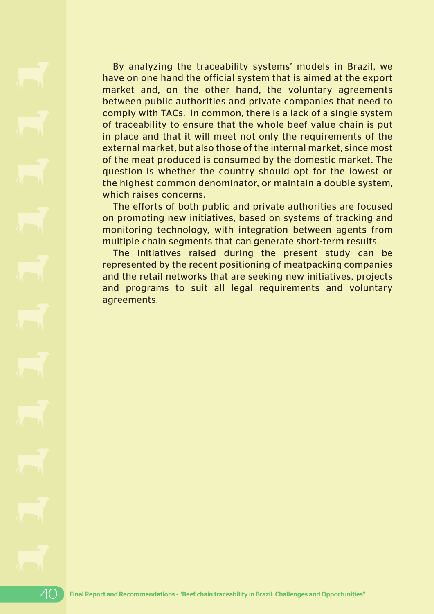By analyzing the traceability systems' models in Brazil, we have on one hand the official system that is aimed at the export market and, on the other hand, the voluntary agreements between public authorities and private companies that need to comply with TACs. In common, there is a lack of a single system of traceability to ensure that the whole beef value chain is put in place and that it will meet not only the requirements of the external market, but also those of the internal market, since most of the meat produced is consumed by the domestic market. The question is whether the country should opt for the lowest or the highest common denominator, or maintain a double system, which raises concerns.

The efforts of both public and private authorities are focused on promoting new initiatives, based on systems of tracking and monitoring technology, with integration between agents from multiple chain segments that can generate short-term results.

The initiatives raised during the present study can be represented by the recent positioning of meatpacking companies and the retail networks that are seeking new initiatives, projects and programs to suit all legal requirements and voluntary agreements.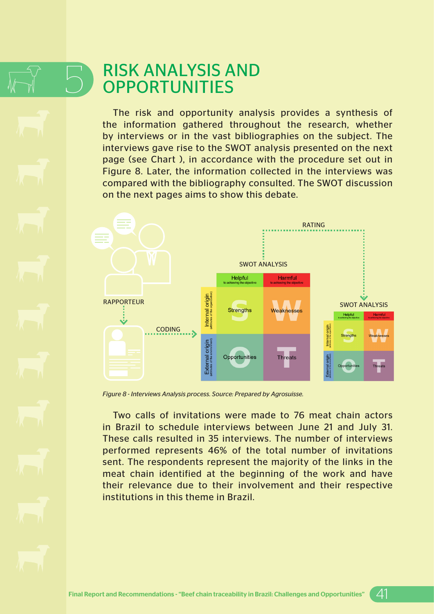# RISK ANALYSIS AND<br>OPPORTUNITIES

The risk and opportunity analysis provides a synthesis of the information gathered throughout the research, whether by interviews or in the vast bibliographies on the subject. The interviews gave rise to the SWOT analysis presented on the next page (see Chart ), in accordance with the procedure set out in Figure 8. Later, the information collected in the interviews was compared with the bibliography consulted. The SWOT discussion on the next pages aims to show this debate.



*Figure 8 - Interviews Analysis process. Source: Prepared by Agrosuisse.*

Two calls of invitations were made to 76 meat chain actors in Brazil to schedule interviews between June 21 and July 31. These calls resulted in 35 interviews. The number of interviews performed represents 46% of the total number of invitations sent. The respondents represent the majority of the links in the meat chain identified at the beginning of the work and have their relevance due to their involvement and their respective institutions in this theme in Brazil.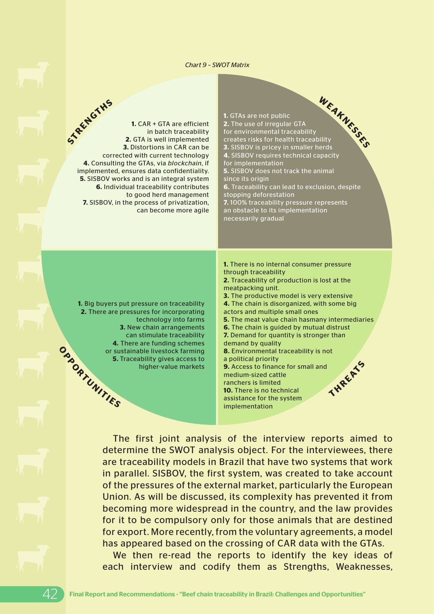#### *Chart 9 – SWOT Matrix*

**1.** CAR + GTA are efficient in batch traceability **2.** GTA is well implemented **3.** Distortions in CAR can be corrected with current technology **4.** Consulting the GTAs, via *blockchain*, if implemented, ensures data confidentiality. **5.** SISBOV works and is an integral system **6.** Individual traceability contributes to good herd management **7.** SISBOV, in the process of privatization, can become more agile **S TRENGTH<sup>S</sup>**

**1.** GTAs are not public **2.** The use of irregular GTA for environmental traceability creates risks for health traceability **3.** SISBOV is pricey in smaller herds **4.** SISBOV requires technical capacity for implementation **5.** SISBOV does not track the animal since its origin **6.** Traceability can lead to exclusion, despite stopping deforestation **7.** 100% traceability pressure represents an obstacle to its implementation necessarily gradual WEARNESS

**1.** Big buyers put pressure on traceability **2.** There are pressures for incorporating technology into farms **3.** New chain arrangements can stimulate traceability **4.** There are funding schemes or sustainable livestock farming **5.** Traceability gives access to higher-value markets **<sup>O</sup> <sup>P</sup><sup>P</sup> <sup>O</sup> <sup>R</sup><sup>T</sup> <sup>U</sup> <sup>N</sup> <sup>I</sup>T<sup>I</sup> <sup>E</sup><sup>S</sup>**

- **1.** There is no internal consumer pressure through traceability **2.** Traceability of production is lost at the
- meatpacking unit.
- **3.** The productive model is very extensive **4.** The chain is disorganized, with some big actors and multiple small ones
- **5.** The meat value chain hasmany intermediaries
- **6.** The chain is guided by mutual distrust
- **7.** Demand for quantity is stronger than demand by quality
- **8.** Environmental traceability is not a political priority **9.** Access to finance for small and medium-sized cattle **T H REATS**
- ranchers is limited **10.** There is no technical assistance for the system
- implementation

The first joint analysis of the interview reports aimed to determine the SWOT analysis object. For the interviewees, there are traceability models in Brazil that have two systems that work in parallel. SISBOV, the first system, was created to take account of the pressures of the external market, particularly the European Union. As will be discussed, its complexity has prevented it from becoming more widespread in the country, and the law provides for it to be compulsory only for those animals that are destined for export. More recently, from the voluntary agreements, a model has appeared based on the crossing of CAR data with the GTAs.

We then re-read the reports to identify the key ideas of each interview and codify them as Strengths, Weaknesses,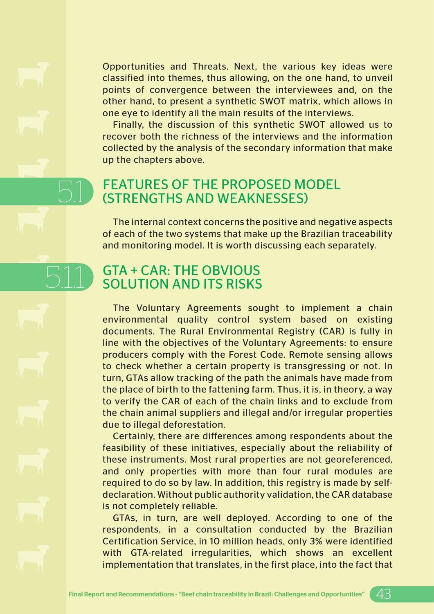Opportunities and Threats. Next, the various key ideas were classified into themes, thus allowing, on the one hand, to unveil points of convergence between the interviewees and, on the other hand, to present a synthetic SWOT matrix, which allows in one eye to identify all the main results of the interviews.

Finally, the discussion of this synthetic SWOT allowed us to recover both the richness of the interviews and the information collected by the analysis of the secondary information that make up the chapters above.

### FEATURES OF THE PROPOSED MODEL (STRENGTHS AND WEAKNESSES)

The internal context concerns the positive and negative aspects of each of the two systems that make up the Brazilian traceability and monitoring model. It is worth discussing each separately.

#### GTA + CAR: THE OBVIOUS SOLUTION AND ITS RISKS 5.1.1

5.1

The Voluntary Agreements sought to implement a chain environmental quality control system based on existing documents. The Rural Environmental Registry (CAR) is fully in line with the objectives of the Voluntary Agreements: to ensure producers comply with the Forest Code. Remote sensing allows to check whether a certain property is transgressing or not. In turn, GTAs allow tracking of the path the animals have made from the place of birth to the fattening farm. Thus, it is, in theory, a way to verify the CAR of each of the chain links and to exclude from the chain animal suppliers and illegal and/or irregular properties due to illegal deforestation.

Certainly, there are differences among respondents about the feasibility of these initiatives, especially about the reliability of these instruments. Most rural properties are not georeferenced, and only properties with more than four rural modules are required to do so by law. In addition, this registry is made by selfdeclaration. Without public authority validation, the CAR database is not completely reliable.

GTAs, in turn, are well deployed. According to one of the respondents, in a consultation conducted by the Brazilian Certification Service, in 10 million heads, only 3% were identified with GTA-related irregularities, which shows an excellent implementation that translates, in the first place, into the fact that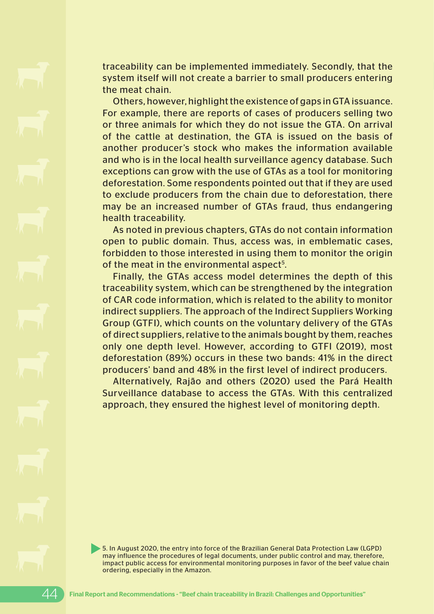traceability can be implemented immediately. Secondly, that the system itself will not create a barrier to small producers entering the meat chain.

Others, however, highlight the existence of gaps in GTA issuance. For example, there are reports of cases of producers selling two or three animals for which they do not issue the GTA. On arrival of the cattle at destination, the GTA is issued on the basis of another producer's stock who makes the information available and who is in the local health surveillance agency database. Such exceptions can grow with the use of GTAs as a tool for monitoring deforestation. Some respondents pointed out that if they are used to exclude producers from the chain due to deforestation, there may be an increased number of GTAs fraud, thus endangering health traceability.

As noted in previous chapters, GTAs do not contain information open to public domain. Thus, access was, in emblematic cases, forbidden to those interested in using them to monitor the origin of the meat in the environmental aspect<sup>5</sup>.

Finally, the GTAs access model determines the depth of this traceability system, which can be strengthened by the integration of CAR code information, which is related to the ability to monitor indirect suppliers. The approach of the Indirect Suppliers Working Group (GTFI), which counts on the voluntary delivery of the GTAs of direct suppliers, relative to the animals bought by them, reaches only one depth level. However, according to GTFI (2019), most deforestation (89%) occurs in these two bands: 41% in the direct producers' band and 48% in the first level of indirect producers.

Alternatively, Rajão and others (2020) used the Pará Health Surveillance database to access the GTAs. With this centralized approach, they ensured the highest level of monitoring depth.

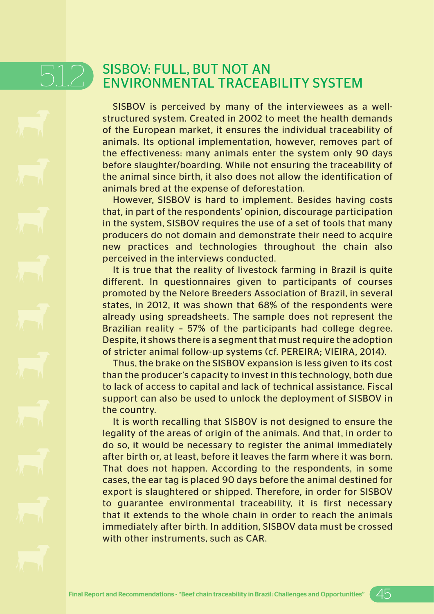### SISBOV: FULL, BUT NOT AN<br>ENVIRONMENTAL TRACEABILITY SYSTEM

SISBOV is perceived by many of the interviewees as a wellstructured system. Created in 2002 to meet the health demands of the European market, it ensures the individual traceability of animals. Its optional implementation, however, removes part of the effectiveness: many animals enter the system only 90 days before slaughter/boarding. While not ensuring the traceability of the animal since birth, it also does not allow the identification of animals bred at the expense of deforestation.

However, SISBOV is hard to implement. Besides having costs that, in part of the respondents' opinion, discourage participation in the system, SISBOV requires the use of a set of tools that many producers do not domain and demonstrate their need to acquire new practices and technologies throughout the chain also perceived in the interviews conducted.

It is true that the reality of livestock farming in Brazil is quite different. In questionnaires given to participants of courses promoted by the Nelore Breeders Association of Brazil, in several states, in 2012, it was shown that 68% of the respondents were already using spreadsheets. The sample does not represent the Brazilian reality – 57% of the participants had college degree. Despite, it shows there is a segment that must require the adoption of stricter animal follow-up systems (cf. PEREIRA; VIEIRA, 2014).

Thus, the brake on the SISBOV expansion is less given to its cost than the producer's capacity to invest in this technology, both due to lack of access to capital and lack of technical assistance. Fiscal support can also be used to unlock the deployment of SISBOV in the country.

It is worth recalling that SISBOV is not designed to ensure the legality of the areas of origin of the animals. And that, in order to do so, it would be necessary to register the animal immediately after birth or, at least, before it leaves the farm where it was born. That does not happen. According to the respondents, in some cases, the ear tag is placed 90 days before the animal destined for export is slaughtered or shipped. Therefore, in order for SISBOV to guarantee environmental traceability, it is first necessary that it extends to the whole chain in order to reach the animals immediately after birth. In addition, SISBOV data must be crossed with other instruments, such as CAR.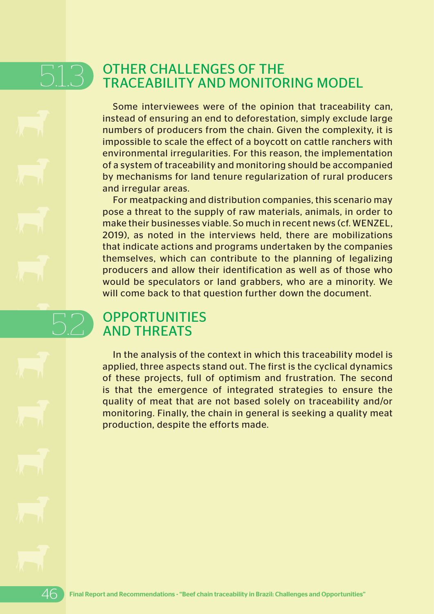#### OTHER CHALLENGES OF THE TRACEABILITY AND MONITORING MODEL 5.1.3

Some interviewees were of the opinion that traceability can, instead of ensuring an end to deforestation, simply exclude large numbers of producers from the chain. Given the complexity, it is impossible to scale the effect of a boycott on cattle ranchers with environmental irregularities. For this reason, the implementation of a system of traceability and monitoring should be accompanied by mechanisms for land tenure regularization of rural producers and irregular areas.

For meatpacking and distribution companies, this scenario may pose a threat to the supply of raw materials, animals, in order to make their businesses viable. So much in recent news (cf. WENZEL, 2019), as noted in the interviews held, there are mobilizations that indicate actions and programs undertaken by the companies themselves, which can contribute to the planning of legalizing producers and allow their identification as well as of those who would be speculators or land grabbers, who are a minority. We will come back to that question further down the document.

#### OPPORTUNITIES AND THREATS

5.2

In the analysis of the context in which this traceability model is applied, three aspects stand out. The first is the cyclical dynamics of these projects, full of optimism and frustration. The second is that the emergence of integrated strategies to ensure the quality of meat that are not based solely on traceability and/or monitoring. Finally, the chain in general is seeking a quality meat production, despite the efforts made.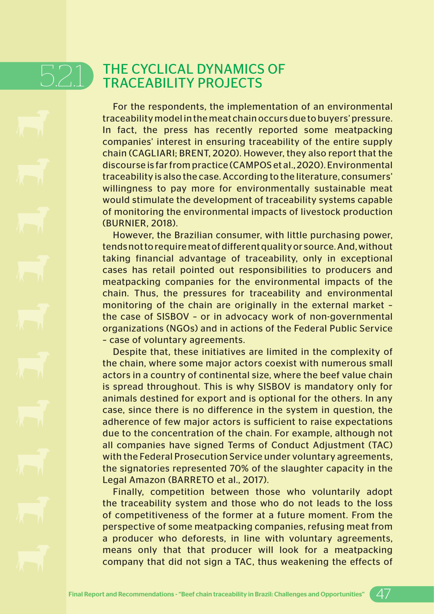## THE CYCLICAL DYNAMICS OF TRACEABILITY PROJECTS

For the respondents, the implementation of an environmental traceability model in the meat chain occurs due to buyers' pressure. In fact, the press has recently reported some meatpacking companies' interest in ensuring traceability of the entire supply chain (CAGLIARI; BRENT, 2020). However, they also report that the discourse is far from practice (CAMPOS et al., 2020). Environmental traceability is also the case. According to the literature, consumers' willingness to pay more for environmentally sustainable meat would stimulate the development of traceability systems capable of monitoring the environmental impacts of livestock production (BURNIER, 2018).

However, the Brazilian consumer, with little purchasing power, tends not to require meat of different quality or source. And, without taking financial advantage of traceability, only in exceptional cases has retail pointed out responsibilities to producers and meatpacking companies for the environmental impacts of the chain. Thus, the pressures for traceability and environmental monitoring of the chain are originally in the external market – the case of SISBOV – or in advocacy work of non-governmental organizations (NGOs) and in actions of the Federal Public Service – case of voluntary agreements.

Despite that, these initiatives are limited in the complexity of the chain, where some major actors coexist with numerous small actors in a country of continental size, where the beef value chain is spread throughout. This is why SISBOV is mandatory only for animals destined for export and is optional for the others. In any case, since there is no difference in the system in question, the adherence of few major actors is sufficient to raise expectations due to the concentration of the chain. For example, although not all companies have signed Terms of Conduct Adjustment (TAC) with the Federal Prosecution Service under voluntary agreements, the signatories represented 70% of the slaughter capacity in the Legal Amazon (BARRETO et al., 2017).

Finally, competition between those who voluntarily adopt the traceability system and those who do not leads to the loss of competitiveness of the former at a future moment. From the perspective of some meatpacking companies, refusing meat from a producer who deforests, in line with voluntary agreements, means only that that producer will look for a meatpacking company that did not sign a TAC, thus weakening the effects of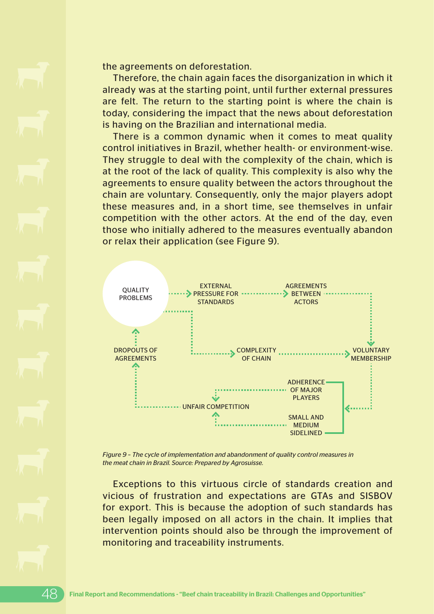the agreements on deforestation.

Therefore, the chain again faces the disorganization in which it already was at the starting point, until further external pressures are felt. The return to the starting point is where the chain is today, considering the impact that the news about deforestation is having on the Brazilian and international media.

There is a common dynamic when it comes to meat quality control initiatives in Brazil, whether health- or environment-wise. They struggle to deal with the complexity of the chain, which is at the root of the lack of quality. This complexity is also why the agreements to ensure quality between the actors throughout the chain are voluntary. Consequently, only the major players adopt these measures and, in a short time, see themselves in unfair competition with the other actors. At the end of the day, even those who initially adhered to the measures eventually abandon or relax their application (see Figure 9).



*Figure 9 – The cycle of implementation and abandonment of quality control measures in the meat chain in Brazil. Source: Prepared by Agrosuisse.*

Exceptions to this virtuous circle of standards creation and vicious of frustration and expectations are GTAs and SISBOV for export. This is because the adoption of such standards has been legally imposed on all actors in the chain. It implies that intervention points should also be through the improvement of monitoring and traceability instruments.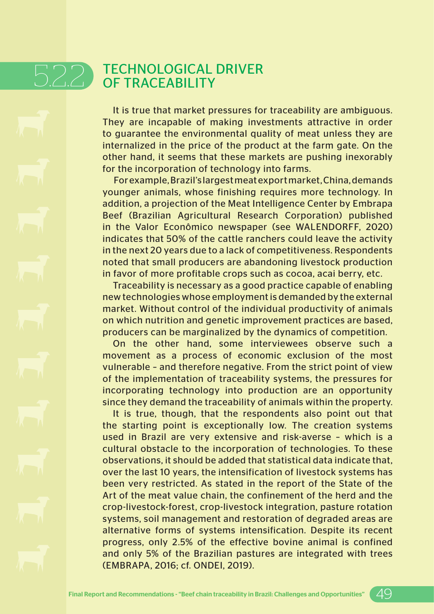### TECHNOLOGICAL DRIVER<br>OF TRACEABILITY

It is true that market pressures for traceability are ambiguous. They are incapable of making investments attractive in order to guarantee the environmental quality of meat unless they are internalized in the price of the product at the farm gate. On the other hand, it seems that these markets are pushing inexorably for the incorporation of technology into farms.

 For example, Brazil's largest meat export market, China, demands younger animals, whose finishing requires more technology. In addition, a projection of the Meat Intelligence Center by Embrapa Beef (Brazilian Agricultural Research Corporation) published in the Valor Econômico newspaper (see WALENDORFF, 2020) indicates that 50% of the cattle ranchers could leave the activity in the next 20 years due to a lack of competitiveness. Respondents noted that small producers are abandoning livestock production in favor of more profitable crops such as cocoa, acai berry, etc.

Traceability is necessary as a good practice capable of enabling new technologies whose employment is demanded by the external market. Without control of the individual productivity of animals on which nutrition and genetic improvement practices are based, producers can be marginalized by the dynamics of competition.

On the other hand, some interviewees observe such a movement as a process of economic exclusion of the most vulnerable – and therefore negative. From the strict point of view of the implementation of traceability systems, the pressures for incorporating technology into production are an opportunity since they demand the traceability of animals within the property.

It is true, though, that the respondents also point out that the starting point is exceptionally low. The creation systems used in Brazil are very extensive and risk-averse – which is a cultural obstacle to the incorporation of technologies. To these observations, it should be added that statistical data indicate that, over the last 10 years, the intensification of livestock systems has been very restricted. As stated in the report of the State of the Art of the meat value chain, the confinement of the herd and the crop-livestock-forest, crop-livestock integration, pasture rotation systems, soil management and restoration of degraded areas are alternative forms of systems intensification. Despite its recent progress, only 2.5% of the effective bovine animal is confined and only 5% of the Brazilian pastures are integrated with trees (EMBRAPA, 2016; cf. ONDEI, 2019).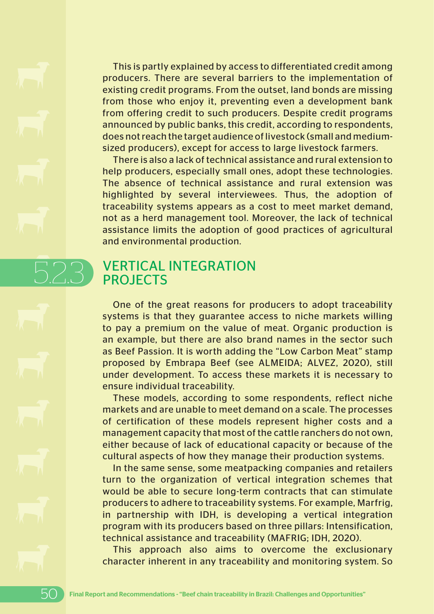This is partly explained by access to differentiated credit among producers. There are several barriers to the implementation of existing credit programs. From the outset, land bonds are missing from those who enjoy it, preventing even a development bank from offering credit to such producers. Despite credit programs announced by public banks, this credit, according to respondents, does not reach the target audience of livestock (small and mediumsized producers), except for access to large livestock farmers.

There is also a lack of technical assistance and rural extension to help producers, especially small ones, adopt these technologies. The absence of technical assistance and rural extension was highlighted by several interviewees. Thus, the adoption of traceability systems appears as a cost to meet market demand, not as a herd management tool. Moreover, the lack of technical assistance limits the adoption of good practices of agricultural and environmental production.

### **VERTICAL INTEGRATION<br>PROJECTS**

One of the great reasons for producers to adopt traceability systems is that they guarantee access to niche markets willing to pay a premium on the value of meat. Organic production is an example, but there are also brand names in the sector such as Beef Passion. It is worth adding the "Low Carbon Meat" stamp proposed by Embrapa Beef (see ALMEIDA; ALVEZ, 2020), still under development. To access these markets it is necessary to ensure individual traceability.

These models, according to some respondents, reflect niche markets and are unable to meet demand on a scale. The processes of certification of these models represent higher costs and a management capacity that most of the cattle ranchers do not own, either because of lack of educational capacity or because of the cultural aspects of how they manage their production systems.

In the same sense, some meatpacking companies and retailers turn to the organization of vertical integration schemes that would be able to secure long-term contracts that can stimulate producers to adhere to traceability systems. For example, Marfrig, in partnership with IDH, is developing a vertical integration program with its producers based on three pillars: Intensification, technical assistance and traceability (MAFRIG; IDH, 2020).

This approach also aims to overcome the exclusionary character inherent in any traceability and monitoring system. So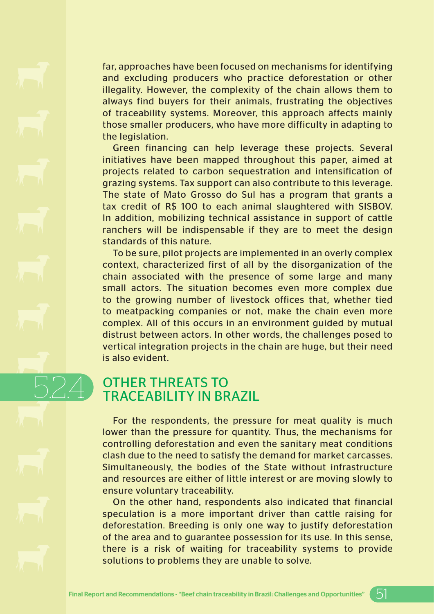far, approaches have been focused on mechanisms for identifying and excluding producers who practice deforestation or other illegality. However, the complexity of the chain allows them to always find buyers for their animals, frustrating the objectives of traceability systems. Moreover, this approach affects mainly those smaller producers, who have more difficulty in adapting to the legislation.

Green financing can help leverage these projects. Several initiatives have been mapped throughout this paper, aimed at projects related to carbon sequestration and intensification of grazing systems. Tax support can also contribute to this leverage. The state of Mato Grosso do Sul has a program that grants a tax credit of R\$ 100 to each animal slaughtered with SISBOV. In addition, mobilizing technical assistance in support of cattle ranchers will be indispensable if they are to meet the design standards of this nature.

To be sure, pilot projects are implemented in an overly complex context, characterized first of all by the disorganization of the chain associated with the presence of some large and many small actors. The situation becomes even more complex due to the growing number of livestock offices that, whether tied to meatpacking companies or not, make the chain even more complex. All of this occurs in an environment guided by mutual distrust between actors. In other words, the challenges posed to vertical integration projects in the chain are huge, but their need is also evident.

#### OTHER THREATS TO TRACEABILITY IN BRAZIL

For the respondents, the pressure for meat quality is much lower than the pressure for quantity. Thus, the mechanisms for controlling deforestation and even the sanitary meat conditions clash due to the need to satisfy the demand for market carcasses. Simultaneously, the bodies of the State without infrastructure and resources are either of little interest or are moving slowly to ensure voluntary traceability.

On the other hand, respondents also indicated that financial speculation is a more important driver than cattle raising for deforestation. Breeding is only one way to justify deforestation of the area and to guarantee possession for its use. In this sense, there is a risk of waiting for traceability systems to provide solutions to problems they are unable to solve.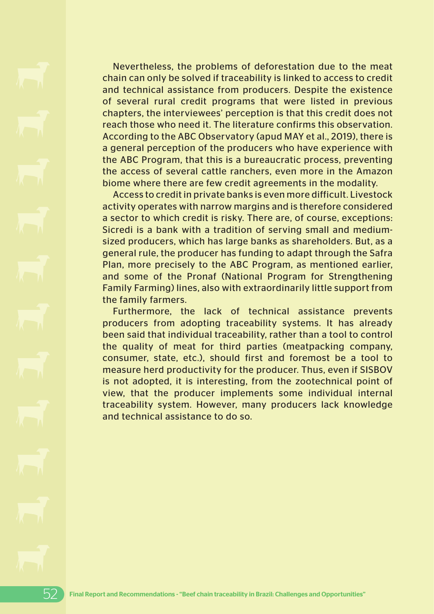Nevertheless, the problems of deforestation due to the meat chain can only be solved if traceability is linked to access to credit and technical assistance from producers. Despite the existence of several rural credit programs that were listed in previous chapters, the interviewees' perception is that this credit does not reach those who need it. The literature confirms this observation. According to the ABC Observatory (apud MAY et al., 2019), there is a general perception of the producers who have experience with the ABC Program, that this is a bureaucratic process, preventing the access of several cattle ranchers, even more in the Amazon biome where there are few credit agreements in the modality.

Access to credit in private banks is even more difficult. Livestock activity operates with narrow margins and is therefore considered a sector to which credit is risky. There are, of course, exceptions: Sicredi is a bank with a tradition of serving small and mediumsized producers, which has large banks as shareholders. But, as a general rule, the producer has funding to adapt through the Safra Plan, more precisely to the ABC Program, as mentioned earlier, and some of the Pronaf (National Program for Strengthening Family Farming) lines, also with extraordinarily little support from the family farmers.

Furthermore, the lack of technical assistance prevents producers from adopting traceability systems. It has already been said that individual traceability, rather than a tool to control the quality of meat for third parties (meatpacking company, consumer, state, etc.), should first and foremost be a tool to measure herd productivity for the producer. Thus, even if SISBOV is not adopted, it is interesting, from the zootechnical point of view, that the producer implements some individual internal traceability system. However, many producers lack knowledge and technical assistance to do so.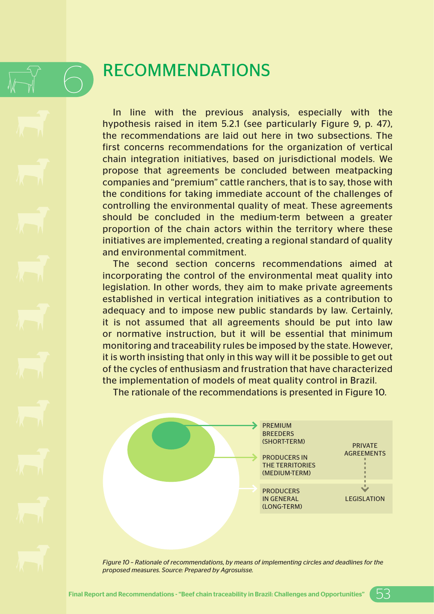

In line with the previous analysis, especially with the hypothesis raised in item 5.2.1 (see particularly Figure 9, p. 47), the recommendations are laid out here in two subsections. The first concerns recommendations for the organization of vertical chain integration initiatives, based on jurisdictional models. We propose that agreements be concluded between meatpacking companies and "premium" cattle ranchers, that is to say, those with the conditions for taking immediate account of the challenges of controlling the environmental quality of meat. These agreements should be concluded in the medium-term between a greater proportion of the chain actors within the territory where these initiatives are implemented, creating a regional standard of quality and environmental commitment.

The second section concerns recommendations aimed at incorporating the control of the environmental meat quality into legislation. In other words, they aim to make private agreements established in vertical integration initiatives as a contribution to adequacy and to impose new public standards by law. Certainly, it is not assumed that all agreements should be put into law or normative instruction, but it will be essential that minimum monitoring and traceability rules be imposed by the state. However, it is worth insisting that only in this way will it be possible to get out of the cycles of enthusiasm and frustration that have characterized the implementation of models of meat quality control in Brazil.

The rationale of the recommendations is presented in Figure 10.



*Figure 10 – Rationale of recommendations, by means of implementing circles and deadlines for the proposed measures. Source: Prepared by Agrosuisse.*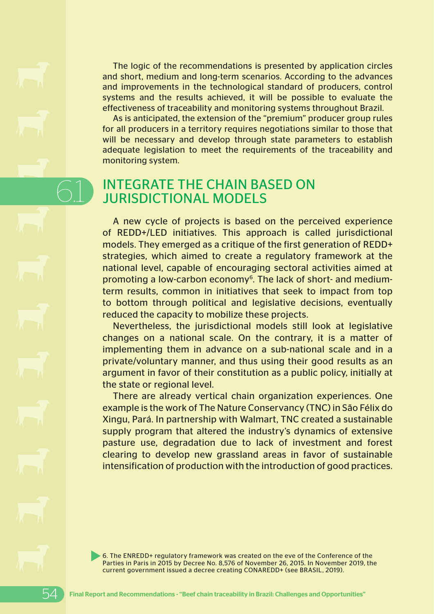The logic of the recommendations is presented by application circles and short, medium and long-term scenarios. According to the advances and improvements in the technological standard of producers, control systems and the results achieved, it will be possible to evaluate the effectiveness of traceability and monitoring systems throughout Brazil.

As is anticipated, the extension of the "premium" producer group rules for all producers in a territory requires negotiations similar to those that will be necessary and develop through state parameters to establish adequate legislation to meet the requirements of the traceability and monitoring system.

## INTEGRATE THE CHAIN BASED ON<br>JURISDICTIONAL MODELS

A new cycle of projects is based on the perceived experience of REDD+/LED initiatives. This approach is called jurisdictional models. They emerged as a critique of the first generation of REDD+ strategies, which aimed to create a regulatory framework at the national level, capable of encouraging sectoral activities aimed at promoting a low-carbon economy<sup>6</sup>. The lack of short- and mediumterm results, common in initiatives that seek to impact from top to bottom through political and legislative decisions, eventually reduced the capacity to mobilize these projects.

Nevertheless, the jurisdictional models still look at legislative changes on a national scale. On the contrary, it is a matter of implementing them in advance on a sub-national scale and in a private/voluntary manner, and thus using their good results as an argument in favor of their constitution as a public policy, initially at the state or regional level.

There are already vertical chain organization experiences. One example is the work of The Nature Conservancy (TNC) in São Félix do Xingu, Pará. In partnership with Walmart, TNC created a sustainable supply program that altered the industry's dynamics of extensive pasture use, degradation due to lack of investment and forest clearing to develop new grassland areas in favor of sustainable intensification of production with the introduction of good practices.

6. The ENREDD+ regulatory framework was created on the eve of the Conference of the Parties in Paris in 2015 by Decree No. 8,576 of November 26, 2015. In November 2019, the current government issued a decree creating CONAREDD+ (see BRASIL, 2019).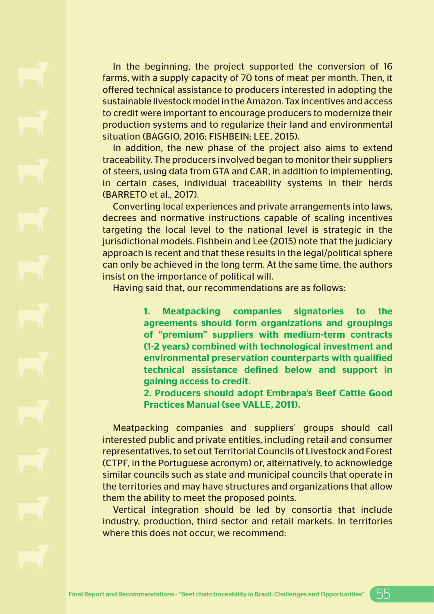In the beginning, the project supported the conversion of 16 farms, with a supply capacity of 70 tons of meat per month. Then, it offered technical assistance to producers interested in adopting the sustainable livestock model in the Amazon. Tax incentives and access to credit were important to encourage producers to modernize their production systems and to regularize their land and environmental situation (BAGGIO, 2016; FISHBEIN; LEE, 2015).

In addition, the new phase of the project also aims to extend traceability. The producers involved began to monitor their suppliers of steers, using data from GTA and CAR, in addition to implementing, in certain cases, individual traceability systems in their herds (BARRETO et al., 2017).

Converting local experiences and private arrangements into laws, decrees and normative instructions capable of scaling incentives targeting the local level to the national level is strategic in the jurisdictional models. Fishbein and Lee (2015) note that the judiciary approach is recent and that these results in the legal/political sphere can only be achieved in the long term. At the same time, the authors insist on the importance of political will.

Having said that, our recommendations are as follows:

1. Meatpacking companies signatories to the agreements should form organizations and groupings of "premium" suppliers with medium-term contracts (1-2 years) combined with technological investment and environmental preservation counterparts with qualified technical assistance defined below and support in gaining access to credit.

2. Producers should adopt Embrapa's Beef Cattle Good Practices Manual (see VALLE, 2011).

Meatpacking companies and suppliers' groups should call interested public and private entities, including retail and consumer representatives, to set out Territorial Councils of Livestock and Forest (CTPF, in the Portuguese acronym) or, alternatively, to acknowledge similar councils such as state and municipal councils that operate in the territories and may have structures and organizations that allow them the ability to meet the proposed points.

Vertical integration should be led by consortia that include industry, production, third sector and retail markets. In territories where this does not occur, we recommend: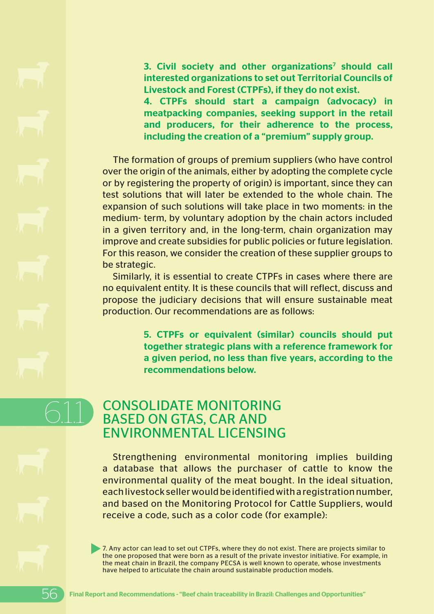6.1.1

3. Civil society and other organizations<sup>7</sup> should call interested organizations to set out Territorial Councils of Livestock and Forest (CTPFs), if they do not exist.

4. CTPFs should start a campaign (advocacy) in meatpacking companies, seeking support in the retail and producers, for their adherence to the process, including the creation of a "premium" supply group.

The formation of groups of premium suppliers (who have control over the origin of the animals, either by adopting the complete cycle or by registering the property of origin) is important, since they can test solutions that will later be extended to the whole chain. The expansion of such solutions will take place in two moments: in the medium- term, by voluntary adoption by the chain actors included in a given territory and, in the long-term, chain organization may improve and create subsidies for public policies or future legislation. For this reason, we consider the creation of these supplier groups to be strategic.

Similarly, it is essential to create CTPFs in cases where there are no equivalent entity. It is these councils that will reflect, discuss and propose the judiciary decisions that will ensure sustainable meat production. Our recommendations are as follows:

> 5. CTPFs or equivalent (similar) councils should put together strategic plans with a reference framework for a given period, no less than five years, according to the recommendations below.

### CONSOLIDATE MONITORING BASED ON GTAS, CAR AND ENVIRONMENTAL LICENSING

Strengthening environmental monitoring implies building a database that allows the purchaser of cattle to know the environmental quality of the meat bought. In the ideal situation, each livestock seller would be identified with a registration number, and based on the Monitoring Protocol for Cattle Suppliers, would receive a code, such as a color code (for example):

 $>$  7. Any actor can lead to set out CTPFs, where they do not exist. There are projects similar to the one proposed that were born as a result of the private investor initiative. For example, in the meat chain in Brazil, the company PECSA is well known to operate, whose investments have helped to articulate the chain around sustainable production models.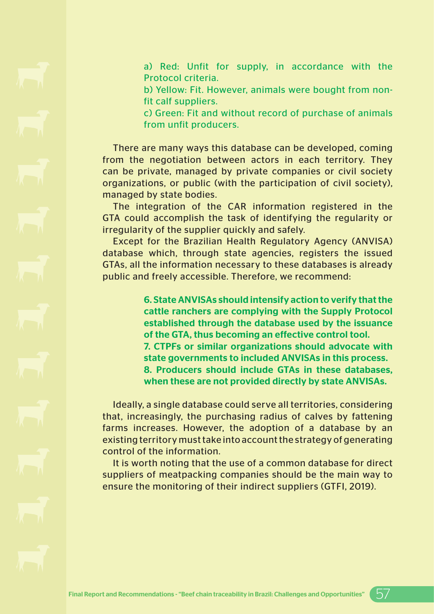a) Red: Unfit for supply, in accordance with the Protocol criteria.

b) Yellow: Fit. However, animals were bought from nonfit calf suppliers.

c) Green: Fit and without record of purchase of animals from unfit producers.

There are many ways this database can be developed, coming from the negotiation between actors in each territory. They can be private, managed by private companies or civil society organizations, or public (with the participation of civil society), managed by state bodies.

The integration of the CAR information registered in the GTA could accomplish the task of identifying the regularity or irregularity of the supplier quickly and safely.

Except for the Brazilian Health Regulatory Agency (ANVISA) database which, through state agencies, registers the issued GTAs, all the information necessary to these databases is already public and freely accessible. Therefore, we recommend:

> 6. State ANVISAs should intensify action to verify that the cattle ranchers are complying with the Supply Protocol established through the database used by the issuance of the GTA, thus becoming an effective control tool. 7. CTPFs or similar organizations should advocate with state governments to included ANVISAs in this process. 8. Producers should include GTAs in these databases, when these are not provided directly by state ANVISAs.

Ideally, a single database could serve all territories, considering that, increasingly, the purchasing radius of calves by fattening farms increases. However, the adoption of a database by an existing territory must take into account the strategy of generating control of the information.

It is worth noting that the use of a common database for direct suppliers of meatpacking companies should be the main way to ensure the monitoring of their indirect suppliers (GTFI, 2019).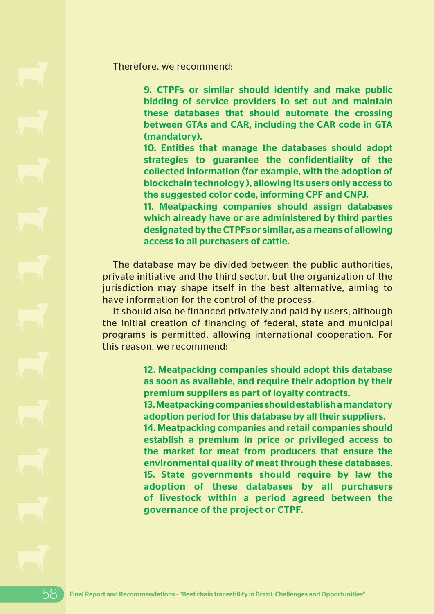Therefore, we recommend:

9. CTPFs or similar should identify and make public bidding of service providers to set out and maintain these databases that should automate the crossing between GTAs and CAR, including the CAR code in GTA (mandatory).

10. Entities that manage the databases should adopt strategies to guarantee the confidentiality of the collected information (for example, with the adoption of blockchain technology ), allowing its users only access to the suggested color code, informing CPF and CNPJ.

11. Meatpacking companies should assign databases which already have or are administered by third parties designated by the CTPFs or similar, as a means of allowing access to all purchasers of cattle.

The database may be divided between the public authorities, private initiative and the third sector, but the organization of the jurisdiction may shape itself in the best alternative, aiming to have information for the control of the process.

It should also be financed privately and paid by users, although the initial creation of financing of federal, state and municipal programs is permitted, allowing international cooperation. For this reason, we recommend:

> 12. Meatpacking companies should adopt this database as soon as available, and require their adoption by their premium suppliers as part of loyalty contracts.

> 13. Meatpacking companies should establish a mandatory adoption period for this database by all their suppliers.

> 14. Meatpacking companies and retail companies should establish a premium in price or privileged access to the market for meat from producers that ensure the environmental quality of meat through these databases. 15. State governments should require by law the adoption of these databases by all purchasers of livestock within a period agreed between the governance of the project or CTPF.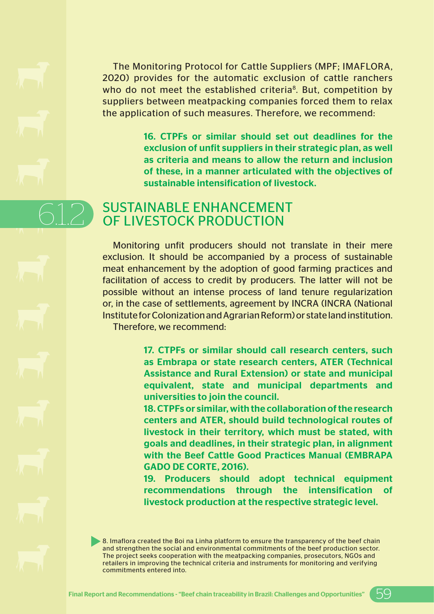The Monitoring Protocol for Cattle Suppliers (MPF; IMAFLORA, 2020) provides for the automatic exclusion of cattle ranchers who do not meet the established criteria<sup>8</sup>. But, competition by suppliers between meatpacking companies forced them to relax the application of such measures. Therefore, we recommend:

> 16. CTPFs or similar should set out deadlines for the exclusion of unfit suppliers in their strategic plan, as well as criteria and means to allow the return and inclusion of these, in a manner articulated with the objectives of sustainable intensification of livestock.

### SUSTAINABLE ENHANCEMENT<br>OF LIVESTOCK PRODUCTION

Monitoring unfit producers should not translate in their mere exclusion. It should be accompanied by a process of sustainable meat enhancement by the adoption of good farming practices and facilitation of access to credit by producers. The latter will not be possible without an intense process of land tenure regularization or, in the case of settlements, agreement by INCRA (INCRA (National Institute for Colonization and Agrarian Reform) or state land institution. Therefore, we recommend:

> 17. CTPFs or similar should call research centers, such as Embrapa or state research centers, ATER (Technical Assistance and Rural Extension) or state and municipal equivalent, state and municipal departments and universities to join the council.

> 18. CTPFs or similar, with the collaboration of the research centers and ATER, should build technological routes of livestock in their territory, which must be stated, with goals and deadlines, in their strategic plan, in alignment with the Beef Cattle Good Practices Manual (EMBRAPA GADO DE CORTE, 2016).

> 19. Producers should adopt technical equipment recommendations through the intensification of livestock production at the respective strategic level.

<sup>8.</sup> Imaflora created the Boi na Linha platform to ensure the transparency of the beef chain and strengthen the social and environmental commitments of the beef production sector. The project seeks cooperation with the meatpacking companies, prosecutors, NGOs and retailers in improving the technical criteria and instruments for monitoring and verifying commitments entered into.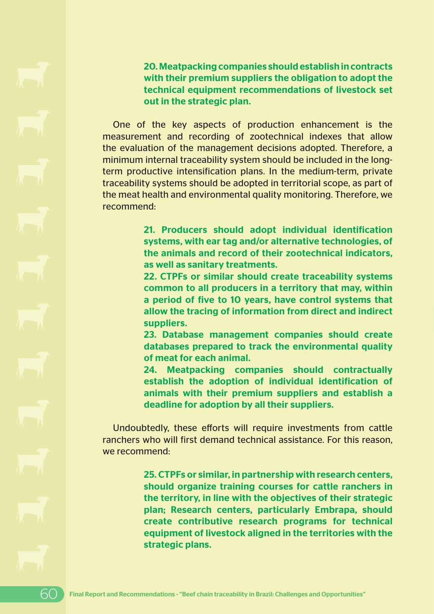20. Meatpacking companies should establish in contracts with their premium suppliers the obligation to adopt the technical equipment recommendations of livestock set out in the strategic plan.

One of the key aspects of production enhancement is the measurement and recording of zootechnical indexes that allow the evaluation of the management decisions adopted. Therefore, a minimum internal traceability system should be included in the longterm productive intensification plans. In the medium-term, private traceability systems should be adopted in territorial scope, as part of the meat health and environmental quality monitoring. Therefore, we recommend:

> 21. Producers should adopt individual identification systems, with ear tag and/or alternative technologies, of the animals and record of their zootechnical indicators, as well as sanitary treatments.

> 22. CTPFs or similar should create traceability systems common to all producers in a territory that may, within a period of five to 10 years, have control systems that allow the tracing of information from direct and indirect suppliers.

> 23. Database management companies should create databases prepared to track the environmental quality of meat for each animal.

> 24. Meatpacking companies should contractually establish the adoption of individual identification of animals with their premium suppliers and establish a deadline for adoption by all their suppliers.

Undoubtedly, these efforts will require investments from cattle ranchers who will first demand technical assistance. For this reason, we recommend:

> 25. CTPFs or similar, in partnership with research centers, should organize training courses for cattle ranchers in the territory, in line with the objectives of their strategic plan; Research centers, particularly Embrapa, should create contributive research programs for technical equipment of livestock aligned in the territories with the strategic plans.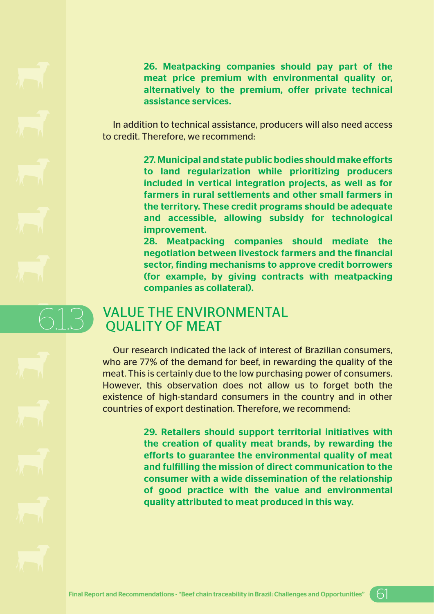26. Meatpacking companies should pay part of the meat price premium with environmental quality or, alternatively to the premium, offer private technical assistance services.

In addition to technical assistance, producers will also need access to credit. Therefore, we recommend:

> 27. Municipal and state public bodies should make efforts to land regularization while prioritizing producers included in vertical integration projects, as well as for farmers in rural settlements and other small farmers in the territory. These credit programs should be adequate and accessible, allowing subsidy for technological improvement.

> 28. Meatpacking companies should mediate the negotiation between livestock farmers and the financial sector, finding mechanisms to approve credit borrowers (for example, by giving contracts with meatpacking companies as collateral).

## VALUE THE ENVIRONMENTAL<br>QUALITY OF MEAT

Our research indicated the lack of interest of Brazilian consumers, who are 77% of the demand for beef, in rewarding the quality of the meat. This is certainly due to the low purchasing power of consumers. However, this observation does not allow us to forget both the existence of high-standard consumers in the country and in other countries of export destination. Therefore, we recommend:

> 29. Retailers should support territorial initiatives with the creation of quality meat brands, by rewarding the efforts to guarantee the environmental quality of meat and fulfilling the mission of direct communication to the consumer with a wide dissemination of the relationship of good practice with the value and environmental quality attributed to meat produced in this way.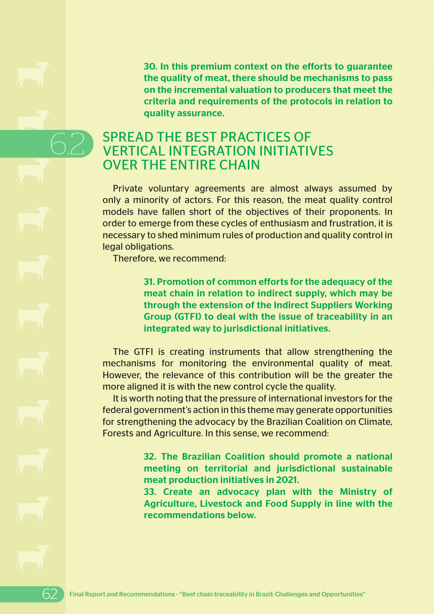30. In this premium context on the efforts to guarantee the quality of meat, there should be mechanisms to pass on the incremental valuation to producers that meet the criteria and requirements of the protocols in relation to quality assurance.

#### SPREAD THE BEST PRACTICES OF VERTICAL INTEGRATION INITIATIVES OVER THE ENTIRE CHAIN

Private voluntary agreements are almost always assumed by only a minority of actors. For this reason, the meat quality control models have fallen short of the objectives of their proponents. In order to emerge from these cycles of enthusiasm and frustration, it is necessary to shed minimum rules of production and quality control in legal obligations.

Therefore, we recommend:

6.2

31. Promotion of common efforts for the adequacy of the meat chain in relation to indirect supply, which may be through the extension of the Indirect Suppliers Working Group (GTFI) to deal with the issue of traceability in an integrated way to jurisdictional initiatives.

The GTFI is creating instruments that allow strengthening the mechanisms for monitoring the environmental quality of meat. However, the relevance of this contribution will be the greater the more aligned it is with the new control cycle the quality.

It is worth noting that the pressure of international investors for the federal government's action in this theme may generate opportunities for strengthening the advocacy by the Brazilian Coalition on Climate, Forests and Agriculture. In this sense, we recommend:

> 32. The Brazilian Coalition should promote a national meeting on territorial and jurisdictional sustainable meat production initiatives in 2021.

> 33. Create an advocacy plan with the Ministry of Agriculture, Livestock and Food Supply in line with the recommendations below.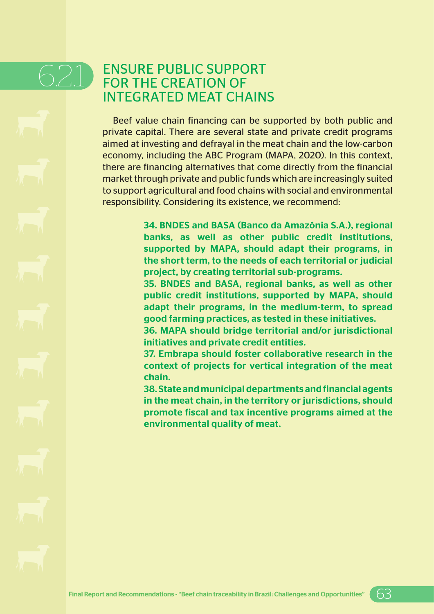# 6.2.1

### ENSURE PUBLIC SUPPORT FOR THE CREATION OF INTEGRATED MEAT CHAINS

Beef value chain financing can be supported by both public and private capital. There are several state and private credit programs aimed at investing and defrayal in the meat chain and the low-carbon economy, including the ABC Program (MAPA, 2020). In this context, there are financing alternatives that come directly from the financial market through private and public funds which are increasingly suited to support agricultural and food chains with social and environmental responsibility. Considering its existence, we recommend:

> 34. BNDES and BASA (Banco da Amazônia S.A.), regional banks, as well as other public credit institutions, supported by MAPA, should adapt their programs, in the short term, to the needs of each territorial or judicial project, by creating territorial sub-programs.

> 35. BNDES and BASA, regional banks, as well as other public credit institutions, supported by MAPA, should adapt their programs, in the medium-term, to spread good farming practices, as tested in these initiatives.

> 36. MAPA should bridge territorial and/or jurisdictional initiatives and private credit entities.

> 37. Embrapa should foster collaborative research in the context of projects for vertical integration of the meat chain.

> 38. State and municipal departments and financial agents in the meat chain, in the territory or jurisdictions, should promote fiscal and tax incentive programs aimed at the environmental quality of meat.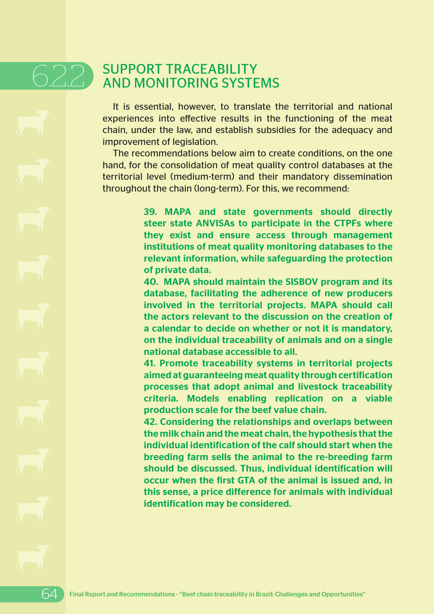## SUPPORT TRACEABILITY<br>AND MONITORING SYSTEMS

It is essential, however, to translate the territorial and national experiences into effective results in the functioning of the meat chain, under the law, and establish subsidies for the adequacy and improvement of legislation.

The recommendations below aim to create conditions, on the one hand, for the consolidation of meat quality control databases at the territorial level (medium-term) and their mandatory dissemination throughout the chain (long-term). For this, we recommend:

> 39. MAPA and state governments should directly steer state ANVISAs to participate in the CTPFs where they exist and ensure access through management institutions of meat quality monitoring databases to the relevant information, while safeguarding the protection of private data.

> 40. MAPA should maintain the SISBOV program and its database, facilitating the adherence of new producers involved in the territorial projects. MAPA should call the actors relevant to the discussion on the creation of a calendar to decide on whether or not it is mandatory, on the individual traceability of animals and on a single national database accessible to all.

> 41. Promote traceability systems in territorial projects aimed at guaranteeing meat quality through certification processes that adopt animal and livestock traceability criteria. Models enabling replication on a viable production scale for the beef value chain.

> 42. Considering the relationships and overlaps between the milk chain and the meat chain, the hypothesis that the individual identification of the calf should start when the breeding farm sells the animal to the re-breeding farm should be discussed. Thus, individual identification will occur when the first GTA of the animal is issued and, in this sense, a price difference for animals with individual identification may be considered.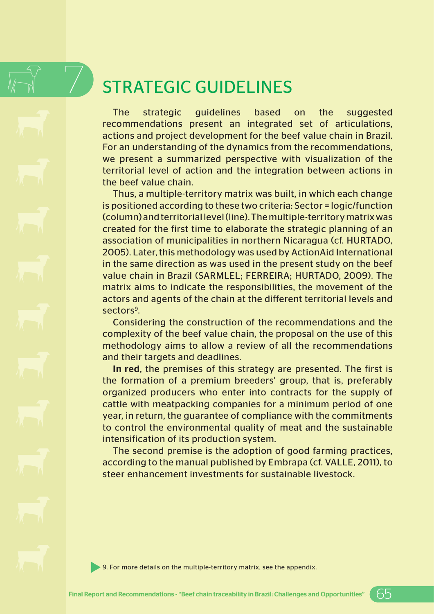### **STRATEGIC GUIDELINES**

The strategic guidelines based on the suggested recommendations present an integrated set of articulations, actions and project development for the beef value chain in Brazil. For an understanding of the dynamics from the recommendations, we present a summarized perspective with visualization of the territorial level of action and the integration between actions in the beef value chain.

Thus, a multiple-territory matrix was built, in which each change is positioned according to these two criteria: Sector = logic/function (column) and territorial level (line). The multiple-territory matrix was created for the first time to elaborate the strategic planning of an association of municipalities in northern Nicaragua (cf. HURTADO, 2005). Later, this methodology was used by ActionAid International in the same direction as was used in the present study on the beef value chain in Brazil (SARMLEL; FERREIRA; HURTADO, 2009). The matrix aims to indicate the responsibilities, the movement of the actors and agents of the chain at the different territorial levels and sectors<sup>9</sup>.

Considering the construction of the recommendations and the complexity of the beef value chain, the proposal on the use of this methodology aims to allow a review of all the recommendations and their targets and deadlines.

In red, the premises of this strategy are presented. The first is the formation of a premium breeders' group, that is, preferably organized producers who enter into contracts for the supply of cattle with meatpacking companies for a minimum period of one year, in return, the guarantee of compliance with the commitments to control the environmental quality of meat and the sustainable intensification of its production system.

The second premise is the adoption of good farming practices, according to the manual published by Embrapa (cf. VALLE, 2011), to steer enhancement investments for sustainable livestock.

▶ 9. For more details on the multiple-territory matrix, see the appendix.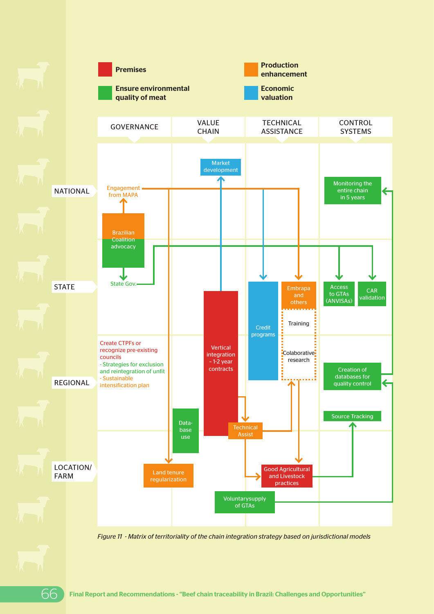

*Figure 11 - Matrix of territoriality of the chain integration strategy based on jurisdictional models*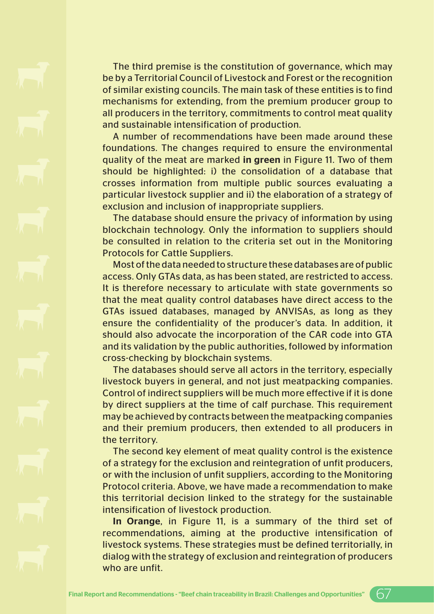The third premise is the constitution of governance, which may be by a Territorial Council of Livestock and Forest or the recognition of similar existing councils. The main task of these entities is to find mechanisms for extending, from the premium producer group to all producers in the territory, commitments to control meat quality and sustainable intensification of production.

A number of recommendations have been made around these foundations. The changes required to ensure the environmental quality of the meat are marked in green in Figure 11. Two of them should be highlighted: i) the consolidation of a database that crosses information from multiple public sources evaluating a particular livestock supplier and ii) the elaboration of a strategy of exclusion and inclusion of inappropriate suppliers.

The database should ensure the privacy of information by using blockchain technology. Only the information to suppliers should be consulted in relation to the criteria set out in the Monitoring Protocols for Cattle Suppliers.

Most of the data needed to structure these databases are of public access. Only GTAs data, as has been stated, are restricted to access. It is therefore necessary to articulate with state governments so that the meat quality control databases have direct access to the GTAs issued databases, managed by ANVISAs, as long as they ensure the confidentiality of the producer's data. In addition, it should also advocate the incorporation of the CAR code into GTA and its validation by the public authorities, followed by information cross-checking by blockchain systems.

The databases should serve all actors in the territory, especially livestock buyers in general, and not just meatpacking companies. Control of indirect suppliers will be much more effective if it is done by direct suppliers at the time of calf purchase. This requirement may be achieved by contracts between the meatpacking companies and their premium producers, then extended to all producers in the territory.

The second key element of meat quality control is the existence of a strategy for the exclusion and reintegration of unfit producers, or with the inclusion of unfit suppliers, according to the Monitoring Protocol criteria. Above, we have made a recommendation to make this territorial decision linked to the strategy for the sustainable intensification of livestock production.

In Orange, in Figure 11, is a summary of the third set of recommendations, aiming at the productive intensification of livestock systems. These strategies must be defined territorially, in dialog with the strategy of exclusion and reintegration of producers who are unfit.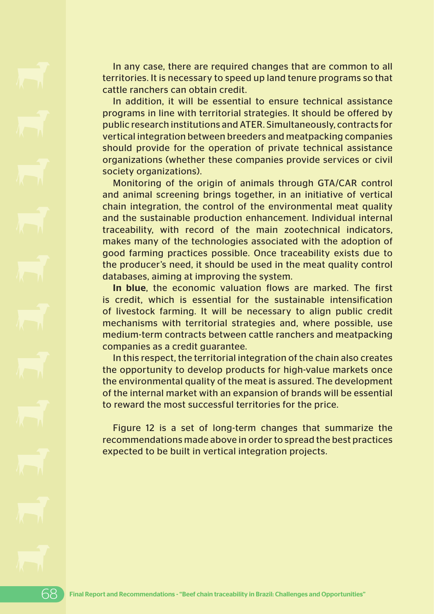In any case, there are required changes that are common to all territories. It is necessary to speed up land tenure programs so that cattle ranchers can obtain credit.

In addition, it will be essential to ensure technical assistance programs in line with territorial strategies. It should be offered by public research institutions and ATER. Simultaneously, contracts for vertical integration between breeders and meatpacking companies should provide for the operation of private technical assistance organizations (whether these companies provide services or civil society organizations).

Monitoring of the origin of animals through GTA/CAR control and animal screening brings together, in an initiative of vertical chain integration, the control of the environmental meat quality and the sustainable production enhancement. Individual internal traceability, with record of the main zootechnical indicators, makes many of the technologies associated with the adoption of good farming practices possible. Once traceability exists due to the producer's need, it should be used in the meat quality control databases, aiming at improving the system.

In blue, the economic valuation flows are marked. The first is credit, which is essential for the sustainable intensification of livestock farming. It will be necessary to align public credit mechanisms with territorial strategies and, where possible, use medium-term contracts between cattle ranchers and meatpacking companies as a credit guarantee.

In this respect, the territorial integration of the chain also creates the opportunity to develop products for high-value markets once the environmental quality of the meat is assured. The development of the internal market with an expansion of brands will be essential to reward the most successful territories for the price.

Figure 12 is a set of long-term changes that summarize the recommendations made above in order to spread the best practices expected to be built in vertical integration projects.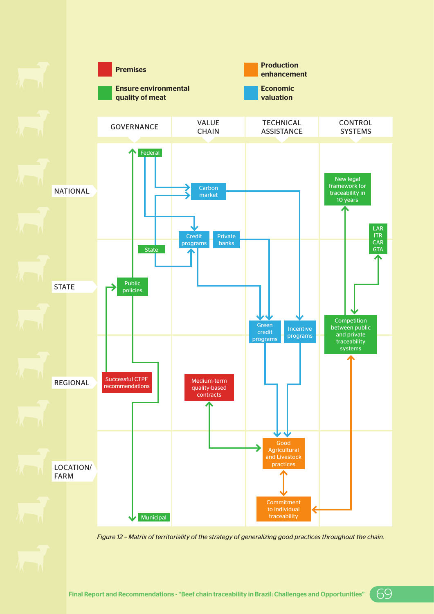

*Figure 12 – Matrix of territoriality of the strategy of generalizing good practices throughout the chain.*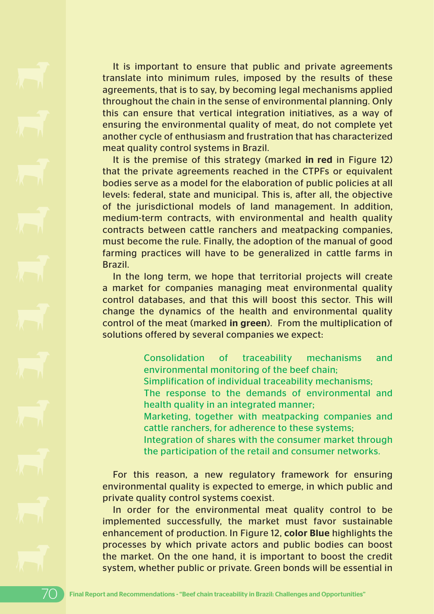It is important to ensure that public and private agreements translate into minimum rules, imposed by the results of these agreements, that is to say, by becoming legal mechanisms applied throughout the chain in the sense of environmental planning. Only this can ensure that vertical integration initiatives, as a way of ensuring the environmental quality of meat, do not complete yet another cycle of enthusiasm and frustration that has characterized meat quality control systems in Brazil.

It is the premise of this strategy (marked in red in Figure 12) that the private agreements reached in the CTPFs or equivalent bodies serve as a model for the elaboration of public policies at all levels: federal, state and municipal. This is, after all, the objective of the jurisdictional models of land management. In addition, medium-term contracts, with environmental and health quality contracts between cattle ranchers and meatpacking companies, must become the rule. Finally, the adoption of the manual of good farming practices will have to be generalized in cattle farms in Brazil.

In the long term, we hope that territorial projects will create a market for companies managing meat environmental quality control databases, and that this will boost this sector. This will change the dynamics of the health and environmental quality control of the meat (marked in green). From the multiplication of solutions offered by several companies we expect:

- Consolidation of traceability mechanisms and environmental monitoring of the beef chain;
- Simplification of individual traceability mechanisms;
- The response to the demands of environmental and health quality in an integrated manner;
- Marketing, together with meatpacking companies and cattle ranchers, for adherence to these systems;
- Integration of shares with the consumer market through the participation of the retail and consumer networks.

For this reason, a new regulatory framework for ensuring environmental quality is expected to emerge, in which public and private quality control systems coexist.

In order for the environmental meat quality control to be implemented successfully, the market must favor sustainable enhancement of production. In Figure 12, color Blue highlights the processes by which private actors and public bodies can boost the market. On the one hand, it is important to boost the credit system, whether public or private. Green bonds will be essential in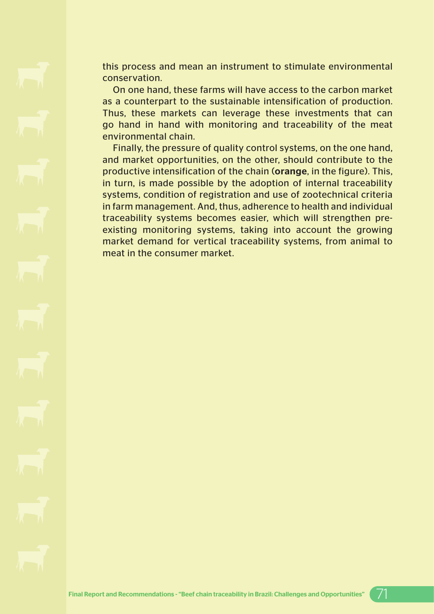this process and mean an instrument to stimulate environmental conservation.

On one hand, these farms will have access to the carbon market as a counterpart to the sustainable intensification of production. Thus, these markets can leverage these investments that can go hand in hand with monitoring and traceability of the meat environmental chain.

Finally, the pressure of quality control systems, on the one hand, and market opportunities, on the other, should contribute to the productive intensification of the chain (orange, in the figure). This, in turn, is made possible by the adoption of internal traceability systems, condition of registration and use of zootechnical criteria in farm management. And, thus, adherence to health and individual traceability systems becomes easier, which will strengthen preexisting monitoring systems, taking into account the growing market demand for vertical traceability systems, from animal to meat in the consumer market.

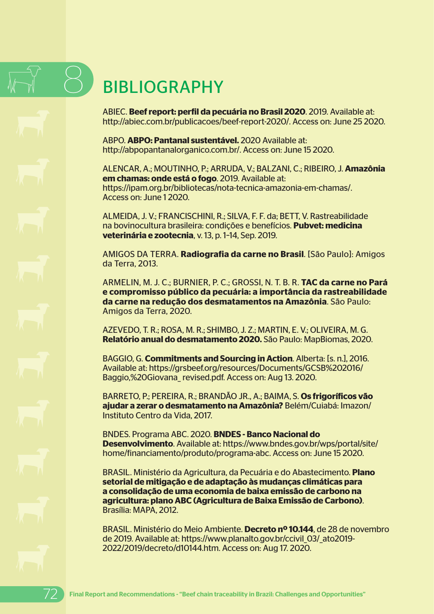### **BIBLIOGRAPHY**

ABIEC. **Beef report: perfil da pecuária no Brasil 2020**. 2019. Available at: http://abiec.com.br/publicacoes/beef-report-2020/. Access on: June 25 2020.

ABPO. **ABPO: Pantanal sustentável.** 2020 Available at: http://abpopantanalorganico.com.br/. Access on: June 15 2020.

ALENCAR, A.; MOUTINHO, P.; ARRUDA, V.; BALZANI, C.; RIBEIRO, J. **Amazônia em chamas: onde está o fogo**. 2019. Available at: https://ipam.org.br/bibliotecas/nota-tecnica-amazonia-em-chamas/. Access on: June 1 2020.

ALMEIDA, J. V.; FRANCISCHINI, R.; SILVA, F. F. da; BETT, V. Rastreabilidade na bovinocultura brasileira: condições e benefícios. **Pubvet: medicina veterinária e zootecnia**, v. 13, p. 1–14, Sep. 2019.

AMIGOS DA TERRA. **Radiografia da carne no Brasil**. [São Paulo]: Amigos da Terra, 2013.

ARMELIN, M. J. C.; BURNIER, P. C.; GROSSI, N. T. B. R. **TAC da carne no Pará e compromisso público da pecuária: a importância da rastreabilidade da carne na redução dos desmatamentos na Amazônia**. São Paulo: Amigos da Terra, 2020.

AZEVEDO, T. R.; ROSA, M. R.; SHIMBO, J. Z.; MARTIN, E. V.; OLIVEIRA, M. G. **Relatório anual do desmatamento 2020.** São Paulo: MapBiomas, 2020.

BAGGIO, G. **Commitments and Sourcing in Action**. Alberta: [s. n.], 2016. Available at: https://grsbeef.org/resources/Documents/GCSB%202016/ Baggio,%20Giovana\_ revised.pdf. Access on: Aug 13. 2020.

BARRETO, P.; PEREIRA, R.; BRANDÃO JR., A.; BAIMA, S. **Os frigoríficos vão ajudar a zerar o desmatamento na Amazônia?** Belém/Cuiabá: Imazon/ Instituto Centro da Vida, 2017.

BNDES. Programa ABC. 2020. **BNDES - Banco Nacional do Desenvolvimento**. Available at: https://www.bndes.gov.br/wps/portal/site/ home/financiamento/produto/programa-abc. Access on: June 15 2020.

BRASIL. Ministério da Agricultura, da Pecuária e do Abastecimento. **Plano setorial de mitigação e de adaptação às mudanças climáticas para a consolidação de uma economia de baixa emissão de carbono na agricultura: plano ABC (Agricultura de Baixa Emissão de Carbono)**. Brasília: MAPA, 2012.

BRASIL. Ministério do Meio Ambiente. **Decreto nº 10.144**, de 28 de novembro de 2019. Available at: https://www.planalto.gov.br/ccivil\_03/\_ato2019- 2022/2019/decreto/d10144.htm. Access on: Aug 17. 2020.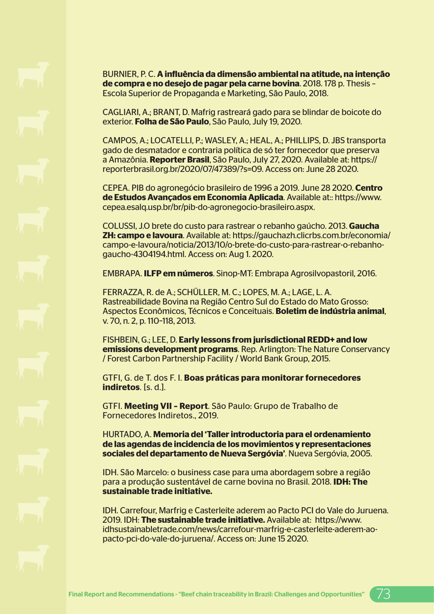BURNIER, P. C. **A influência da dimensão ambiental na atitude, na intenção de compra e no desejo de pagar pela carne bovina**. 2018. 178 p. Thesis – Escola Superior de Propaganda e Marketing, São Paulo, 2018.

CAGLIARI, A.; BRANT, D. Mafrig rastreará gado para se blindar de boicote do exterior. **Folha de São Paulo**, São Paulo, July 19, 2020.

CAMPOS, A.; LOCATELLI, P.; WASLEY, A.; HEAL, A.; PHILLIPS, D. JBS transporta gado de desmatador e contraria política de só ter fornecedor que preserva a Amazônia. **Reporter Brasil**, São Paulo, July 27, 2020. Available at: https:// reporterbrasil.org.br/2020/07/47389/?s=09. Access on: June 28 2020.

CEPEA. PIB do agronegócio brasileiro de 1996 a 2019. June 28 2020. **Centro de Estudos Avançados em Economia Aplicada**. Available at:: https://www. cepea.esalq.usp.br/br/pib-do-agronegocio-brasileiro.aspx.

COLUSSI, J.O brete do custo para rastrear o rebanho gaúcho. 2013. **Gaucha ZH: campo e lavoura**. Available at: https://gauchazh.clicrbs.com.br/economia/ campo-e-lavoura/noticia/2013/10/o-brete-do-custo-para-rastrear-o-rebanhogaucho-4304194.html. Access on: Aug 1. 2020.

EMBRAPA. **ILFP em números**. Sinop-MT: Embrapa Agrosilvopastoril, 2016.

FERRAZZA, R. de A.; SCHÜLLER, M. C.; LOPES, M. A.; LAGE, L. A. Rastreabilidade Bovina na Região Centro Sul do Estado do Mato Grosso: Aspectos Econômicos, Técnicos e Conceituais. **Boletim de indústria animal**, v. 70, n. 2, p. 110–118, 2013.

FISHBEIN, G.; LEE, D. **Early lessons from jurisdictional REDD+ and low emissions development programs**. Rep. Arlington: The Nature Conservancy / Forest Carbon Partnership Facility / World Bank Group, 2015.

GTFI, G. de T. dos F. I. **Boas práticas para monitorar fornecedores indiretos**. [s. d.].

GTFI. **Meeting VII – Report**. São Paulo: Grupo de Trabalho de Fornecedores Indiretos., 2019.

HURTADO, A. **Memoria del 'Taller introductoria para el ordenamiento de las agendas de incidencia de los movimientos y representaciones sociales del departamento de Nueva Sergóvia'**. Nueva Sergóvia, 2005.

IDH. São Marcelo: o business case para uma abordagem sobre a região para a produção sustentável de carne bovina no Brasil. 2018. **IDH: The sustainable trade initiative.**

IDH. Carrefour, Marfrig e Casterleite aderem ao Pacto PCI do Vale do Juruena. 2019. IDH: **The sustainable trade initiative.** Available at: https://www. idhsustainabletrade.com/news/carrefour-marfrig-e-casterleite-aderem-aopacto-pci-do-vale-do-juruena/. Access on: June 15 2020.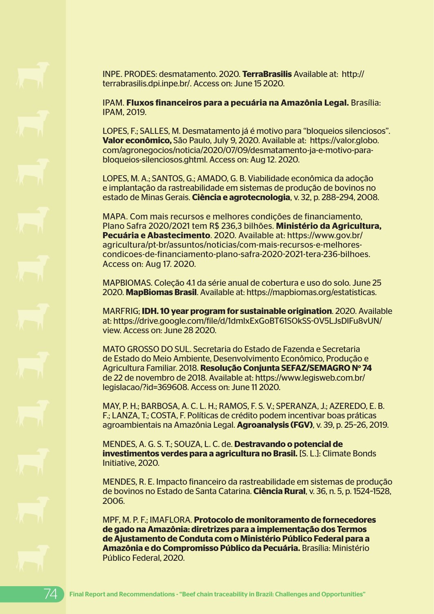INPE. PRODES: desmatamento. 2020. **TerraBrasilis** Available at: http:// terrabrasilis.dpi.inpe.br/. Access on: June 15 2020.

IPAM. **Fluxos financeiros para a pecuária na Amazônia Legal.** Brasília: IPAM, 2019.

LOPES, F.; SALLES, M. Desmatamento já é motivo para "bloqueios silenciosos". **Valor econômico,** São Paulo, July 9, 2020. Available at: https://valor.globo. com/agronegocios/noticia/2020/07/09/desmatamento-ja-e-motivo-parabloqueios-silenciosos.ghtml. Access on: Aug 12. 2020.

LOPES, M. A.; SANTOS, G.; AMADO, G. B. Viabilidade econômica da adoção e implantação da rastreabilidade em sistemas de produção de bovinos no estado de Minas Gerais. **Ciência e agrotecnologia**, v. 32, p. 288–294, 2008.

MAPA. Com mais recursos e melhores condições de financiamento, Plano Safra 2020/2021 tem R\$ 236,3 bilhões. **Ministério da Agricultura, Pecuária e Abastecimento**. 2020. Available at: https://www.gov.br/ agricultura/pt-br/assuntos/noticias/com-mais-recursos-e-melhorescondicoes-de-financiamento-plano-safra-2020-2021-tera-236-bilhoes. Access on: Aug 17. 2020.

MAPBIOMAS. Coleção 4.1 da série anual de cobertura e uso do solo. June 25 2020. **MapBiomas Brasil**. Available at: https://mapbiomas.org/estatisticas.

MARFRIG; **IDH. 10 year program for sustainable origination**. 2020. Available at: https://drive.google.com/file/d/1dmlxExGoBT61SOkSS-0V5LJsDlFu8vUN/ view. Access on: June 28 2020.

MATO GROSSO DO SUL. Secretaria do Estado de Fazenda e Secretaria de Estado do Meio Ambiente, Desenvolvimento Econômico, Produção e Agricultura Familiar. 2018. **Resolução Conjunta SEFAZ/SEMAGRO No 74** de 22 de novembro de 2018. Available at: https://www.legisweb.com.br/ legislacao/?id=369608. Access on: June 11 2020.

MAY, P. H.; BARBOSA, A. C. L. H.; RAMOS, F. S. V.; SPERANZA, J.; AZEREDO, E. B. F.; LANZA, T.; COSTA, F. Políticas de crédito podem incentivar boas práticas agroambientais na Amazônia Legal. **Agroanalysis (FGV)**, v. 39, p. 25–26, 2019.

MENDES, A. G. S. T.; SOUZA, L. C. de. **Destravando o potencial de investimentos verdes para a agricultura no Brasil.** [S. L.]: Climate Bonds Initiative, 2020.

MENDES, R. E. Impacto financeiro da rastreabilidade em sistemas de produção de bovinos no Estado de Santa Catarina. **Ciência Rural**, v. 36, n. 5, p. 1524–1528, 2006.

MPF, M. P. F.; IMAFLORA. **Protocolo de monitoramento de fornecedores de gado na Amazônia: diretrizes para a implementação dos Termos de Ajustamento de Conduta com o Ministério Público Federal para a Amazônia e do Compromisso Público da Pecuária.** Brasília: Ministério Público Federal, 2020.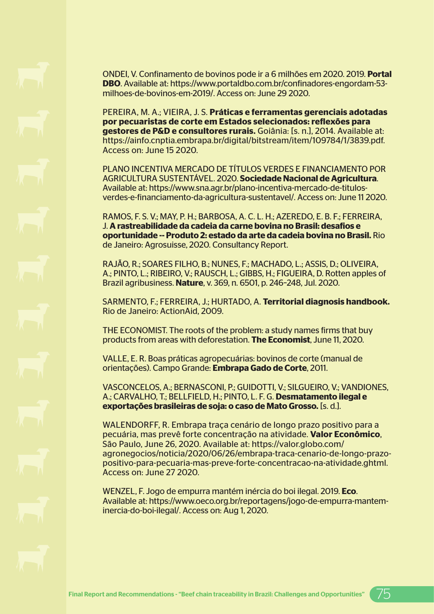ONDEI, V. Confinamento de bovinos pode ir a 6 milhões em 2020. 2019. **Portal DBO**. Available at: https://www.portaldbo.com.br/confinadores-engordam-53 milhoes-de-bovinos-em-2019/. Access on: June 29 2020.

PEREIRA, M. A.; VIEIRA, J. S. **Práticas e ferramentas gerenciais adotadas por pecuaristas de corte em Estados selecionados: reflexões para gestores de P&D e consultores rurais.** Goiânia: [s. n.], 2014. Available at: https://ainfo.cnptia.embrapa.br/digital/bitstream/item/109784/1/3839.pdf. Access on: June 15 2020.

PLANO INCENTIVA MERCADO DE TÍTULOS VERDES E FINANCIAMENTO POR AGRICULTURA SUSTENTÁVEL. 2020. **Sociedade Nacional de Agricultura**. Available at: https://www.sna.agr.br/plano-incentiva-mercado-de-titulosverdes-e-financiamento-da-agricultura-sustentavel/. Access on: June 11 2020.

RAMOS, F. S. V.; MAY, P. H.; BARBOSA, A. C. L. H.; AZEREDO, E. B. F.; FERREIRA, J. **A rastreabilidade da cadeia da carne bovina no Brasil: desafios e oportunidade -- Produto 2: estado da arte da cadeia bovina no Brasil.** Rio de Janeiro: Agrosuisse, 2020. Consultancy Report.

RAJÃO, R.; SOARES FILHO, B.; NUNES, F.; MACHADO, L.; ASSIS, D.; OLIVEIRA, A.; PINTO, L.; RIBEIRO, V.; RAUSCH, L.; GIBBS, H.; FIGUEIRA, D. Rotten apples of Brazil agribusiness. **Nature**, v. 369, n. 6501, p. 246–248, Jul. 2020.

SARMENTO, F.; FERREIRA, J.; HURTADO, A. **Territorial diagnosis handbook.** Rio de Janeiro: ActionAid, 2009.

THE ECONOMIST. The roots of the problem: a study names firms that buy products from areas with deforestation. **The Economist**, June 11, 2020.

VALLE, E. R. Boas práticas agropecuárias: bovinos de corte (manual de orientações). Campo Grande: **Embrapa Gado de Corte**, 2011.

VASCONCELOS, A.; BERNASCONI, P.; GUIDOTTI, V.; SILGUEIRO, V.; VANDIONES, A.; CARVALHO, T.; BELLFIELD, H.; PINTO, L. F. G. **Desmatamento ilegal e exportações brasileiras de soja: o caso de Mato Grosso.** [s. d.].

WALENDORFF, R. Embrapa traça cenário de longo prazo positivo para a pecuária, mas prevê forte concentração na atividade. **Valor Econômico**, São Paulo, June 26, 2020. Available at: https://valor.globo.com/ agronegocios/noticia/2020/06/26/embrapa-traca-cenario-de-longo-prazopositivo-para-pecuaria-mas-preve-forte-concentracao-na-atividade.ghtml. Access on: June 27 2020.

WENZEL, F. Jogo de empurra mantém inércia do boi ilegal. 2019. **Eco**. Available at: https://www.oeco.org.br/reportagens/jogo-de-empurra-manteminercia-do-boi-ilegal/. Access on: Aug 1, 2020.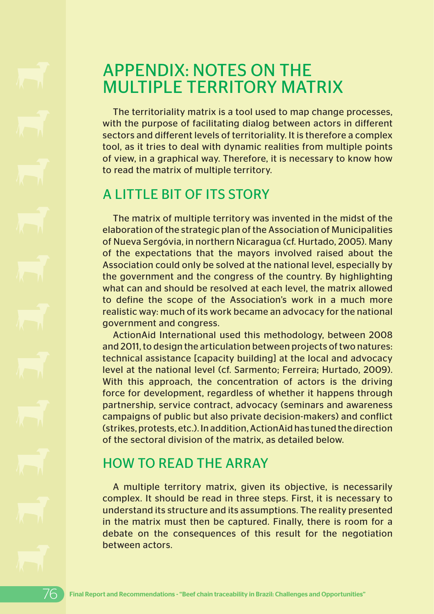# APPENDIX: NOTES ON THE MULTIPLE TERRITORY MATRIX

The territoriality matrix is a tool used to map change processes, with the purpose of facilitating dialog between actors in different sectors and different levels of territoriality. It is therefore a complex tool, as it tries to deal with dynamic realities from multiple points of view, in a graphical way. Therefore, it is necessary to know how to read the matrix of multiple territory.

## A LITTLE BIT OF ITS STORY

The matrix of multiple territory was invented in the midst of the elaboration of the strategic plan of the Association of Municipalities of Nueva Sergóvia, in northern Nicaragua (cf. Hurtado, 2005). Many of the expectations that the mayors involved raised about the Association could only be solved at the national level, especially by the government and the congress of the country. By highlighting what can and should be resolved at each level, the matrix allowed to define the scope of the Association's work in a much more realistic way: much of its work became an advocacy for the national government and congress.

ActionAid International used this methodology, between 2008 and 2011, to design the articulation between projects of two natures: technical assistance [capacity building] at the local and advocacy level at the national level (cf. Sarmento; Ferreira; Hurtado, 2009). With this approach, the concentration of actors is the driving force for development, regardless of whether it happens through partnership, service contract, advocacy (seminars and awareness campaigns of public but also private decision-makers) and conflict (strikes, protests, etc.). In addition, ActionAid has tuned the direction of the sectoral division of the matrix, as detailed below.

## HOW TO READ THE ARRAY

A multiple territory matrix, given its objective, is necessarily complex. It should be read in three steps. First, it is necessary to understand its structure and its assumptions. The reality presented in the matrix must then be captured. Finally, there is room for a debate on the consequences of this result for the negotiation between actors.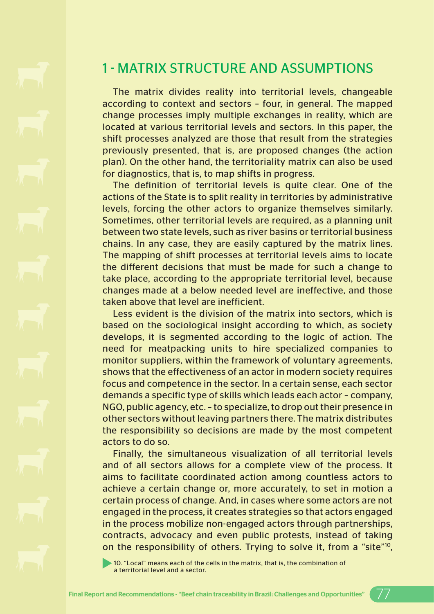## 1 - MATRIX STRUCTURE AND ASSUMPTIONS

The matrix divides reality into territorial levels, changeable according to context and sectors – four, in general. The mapped change processes imply multiple exchanges in reality, which are located at various territorial levels and sectors. In this paper, the shift processes analyzed are those that result from the strategies previously presented, that is, are proposed changes (the action plan). On the other hand, the territoriality matrix can also be used for diagnostics, that is, to map shifts in progress.

The definition of territorial levels is quite clear. One of the actions of the State is to split reality in territories by administrative levels, forcing the other actors to organize themselves similarly. Sometimes, other territorial levels are required, as a planning unit between two state levels, such as river basins or territorial business chains. In any case, they are easily captured by the matrix lines. The mapping of shift processes at territorial levels aims to locate the different decisions that must be made for such a change to take place, according to the appropriate territorial level, because changes made at a below needed level are ineffective, and those taken above that level are inefficient.

Less evident is the division of the matrix into sectors, which is based on the sociological insight according to which, as society develops, it is segmented according to the logic of action. The need for meatpacking units to hire specialized companies to monitor suppliers, within the framework of voluntary agreements, shows that the effectiveness of an actor in modern society requires focus and competence in the sector. In a certain sense, each sector demands a specific type of skills which leads each actor – company, NGO, public agency, etc. – to specialize, to drop out their presence in other sectors without leaving partners there. The matrix distributes the responsibility so decisions are made by the most competent actors to do so.

Finally, the simultaneous visualization of all territorial levels and of all sectors allows for a complete view of the process. It aims to facilitate coordinated action among countless actors to achieve a certain change or, more accurately, to set in motion a certain process of change. And, in cases where some actors are not engaged in the process, it creates strategies so that actors engaged in the process mobilize non-engaged actors through partnerships, contracts, advocacy and even public protests, instead of taking on the responsibility of others. Trying to solve it, from a "site"10,

10. "Local" means each of the cells in the matrix, that is, the combination of a territorial level and a sector.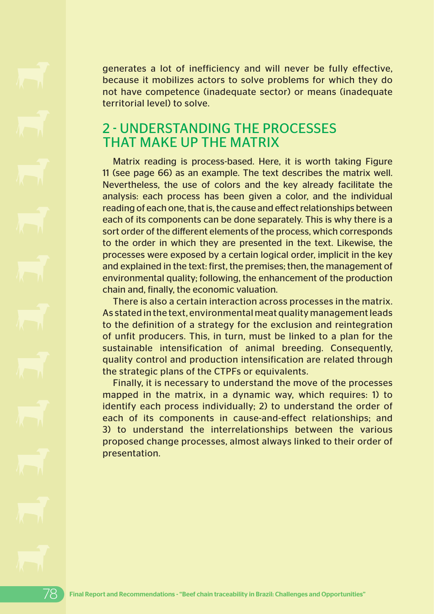generates a lot of inefficiency and will never be fully effective, because it mobilizes actors to solve problems for which they do not have competence (inadequate sector) or means (inadequate territorial level) to solve.

### 2 - UNDERSTANDING THE PROCESSES THAT MAKE UP THE MATRIX

Matrix reading is process-based. Here, it is worth taking Figure 11 (see page 66) as an example. The text describes the matrix well. Nevertheless, the use of colors and the key already facilitate the analysis: each process has been given a color, and the individual reading of each one, that is, the cause and effect relationships between each of its components can be done separately. This is why there is a sort order of the different elements of the process, which corresponds to the order in which they are presented in the text. Likewise, the processes were exposed by a certain logical order, implicit in the key and explained in the text: first, the premises; then, the management of environmental quality; following, the enhancement of the production chain and, finally, the economic valuation.

There is also a certain interaction across processes in the matrix. As stated in the text, environmental meat quality management leads to the definition of a strategy for the exclusion and reintegration of unfit producers. This, in turn, must be linked to a plan for the sustainable intensification of animal breeding. Consequently, quality control and production intensification are related through the strategic plans of the CTPFs or equivalents.

Finally, it is necessary to understand the move of the processes mapped in the matrix, in a dynamic way, which requires: 1) to identify each process individually; 2) to understand the order of each of its components in cause-and-effect relationships; and 3) to understand the interrelationships between the various proposed change processes, almost always linked to their order of presentation.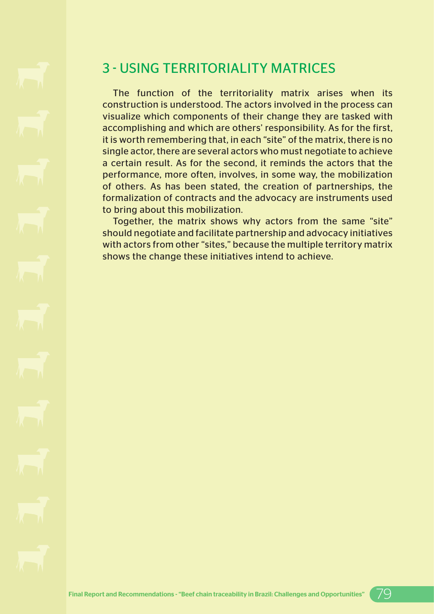## 3 - USING TERRITORIALITY MATRICES

The function of the territoriality matrix arises when its construction is understood. The actors involved in the process can visualize which components of their change they are tasked with accomplishing and which are others' responsibility. As for the first, it is worth remembering that, in each "site" of the matrix, there is no single actor, there are several actors who must negotiate to achieve a certain result. As for the second, it reminds the actors that the performance, more often, involves, in some way, the mobilization of others. As has been stated, the creation of partnerships, the formalization of contracts and the advocacy are instruments used to bring about this mobilization.

Together, the matrix shows why actors from the same "site" should negotiate and facilitate partnership and advocacy initiatives with actors from other "sites," because the multiple territory matrix shows the change these initiatives intend to achieve.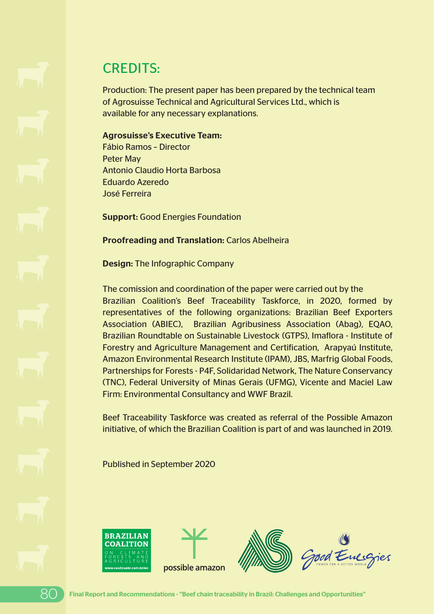## CREDITS:

Production: The present paper has been prepared by the technical team of Agrosuisse Technical and Agricultural Services Ltd., which is available for any necessary explanations.

### Agrosuisse's Executive Team:

Fábio Ramos – Director Peter May Antonio Claudio Horta Barbosa Eduardo Azeredo José Ferreira

Support: Good Energies Foundation

#### Proofreading and Translation: Carlos Abelheira

Design: The Infographic Company

The comission and coordination of the paper were carried out by the Brazilian Coalition's Beef Traceability Taskforce, in 2020, formed by representatives of the following organizations: Brazilian Beef Exporters Association (ABIEC), Brazilian Agribusiness Association (Abag), EQAO, Brazilian Roundtable on Sustainable Livestock (GTPS), Imaflora - Institute of Forestry and Agriculture Management and Certification, Arapyaú Institute, Amazon Environmental Research Institute (IPAM), JBS, Marfrig Global Foods, Partnerships for Forests - P4F, Solidaridad Network, The Nature Conservancy (TNC), Federal University of Minas Gerais (UFMG), Vicente and Maciel Law Firm: Environmental Consultancy and WWF Brazil.

Beef Traceability Taskforce was created as referral of the Possible Amazon initiative, of which the Brazilian Coalition is part of and was launched in 2019.

Published in September 2020





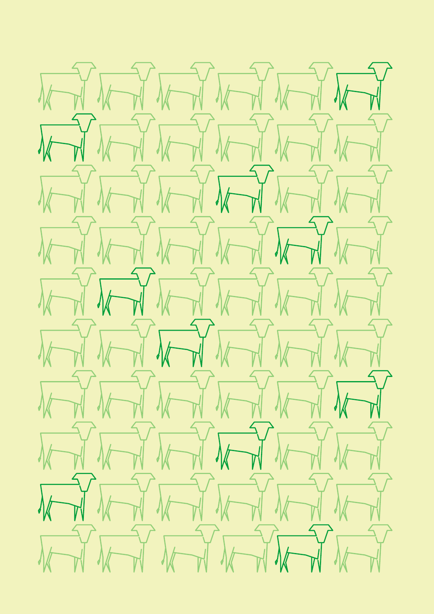